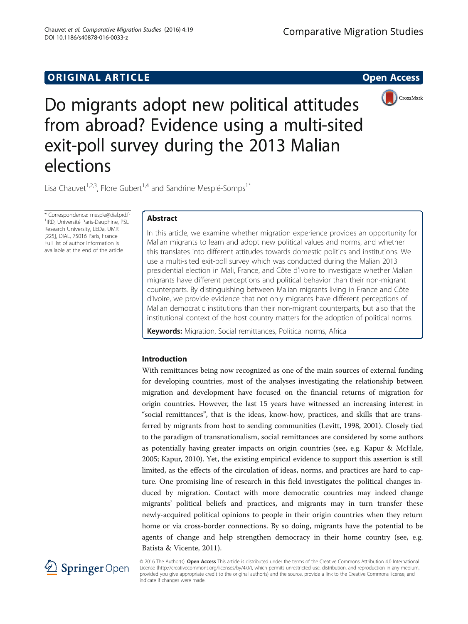# **ORIGINAL ARTICLE CONSUMING A LIGACION** CONSUMING A LIGACION CONSUMING A LIGACION CONSUMING A LIGACION CONSUMING A LIGACION CONSUMING A LIGACION CONSUMING A LIGACION CONSUMING A LIGACION CONSUMING A LIGACION CONSUMING A





Do migrants adopt new political attitudes from abroad? Evidence using a multi-sited exit-poll survey during the 2013 Malian elections

Lisa Chauvet<sup>1,2,3</sup>, Flore Gubert<sup>1,4</sup> and Sandrine Mesplé-Somps<sup>1\*</sup>

\* Correspondence: [mesple@dial.prd.fr](mailto:<?A3B2 twb=.27w?><?A3B2 tlsb=-.19pt?>mesple@dial.prd.fr) <sup>1</sup> <sup>1</sup>IRD, Université Paris-Dauphine, PSL Research University, LEDa, UMR [225], DIAL, 75016 Paris, France Full list of author information is available at the end of the article

# Abstract

In this article, we examine whether migration experience provides an opportunity for Malian migrants to learn and adopt new political values and norms, and whether this translates into different attitudes towards domestic politics and institutions. We use a multi-sited exit-poll survey which was conducted during the Malian 2013 presidential election in Mali, France, and Côte d'Ivoire to investigate whether Malian migrants have different perceptions and political behavior than their non-migrant counterparts. By distinguishing between Malian migrants living in France and Côte d'Ivoire, we provide evidence that not only migrants have different perceptions of Malian democratic institutions than their non-migrant counterparts, but also that the institutional context of the host country matters for the adoption of political norms.

Keywords: Migration, Social remittances, Political norms, Africa

## Introduction

With remittances being now recognized as one of the main sources of external funding for developing countries, most of the analyses investigating the relationship between migration and development have focused on the financial returns of migration for origin countries. However, the last 15 years have witnessed an increasing interest in "social remittances", that is the ideas, know-how, practices, and skills that are transferred by migrants from host to sending communities (Levitt, [1998](#page-30-0), [2001](#page-30-0)). Closely tied to the paradigm of transnationalism, social remittances are considered by some authors as potentially having greater impacts on origin countries (see, e.g. Kapur & McHale, [2005](#page-30-0); Kapur, [2010\)](#page-30-0). Yet, the existing empirical evidence to support this assertion is still limited, as the effects of the circulation of ideas, norms, and practices are hard to capture. One promising line of research in this field investigates the political changes induced by migration. Contact with more democratic countries may indeed change migrants' political beliefs and practices, and migrants may in turn transfer these newly-acquired political opinions to people in their origin countries when they return home or via cross-border connections. By so doing, migrants have the potential to be agents of change and help strengthen democracy in their home country (see, e.g. Batista & Vicente, [2011\)](#page-29-0).



© 2016 The Author(s). Open Access This article is distributed under the terms of the Creative Commons Attribution 4.0 International License [\(http://creativecommons.org/licenses/by/4.0/](http://creativecommons.org/licenses/by/4.0/)), which permits unrestricted use, distribution, and reproduction in any medium, provided you give appropriate credit to the original author(s) and the source, provide a link to the Creative Commons license, and indicate if changes were made.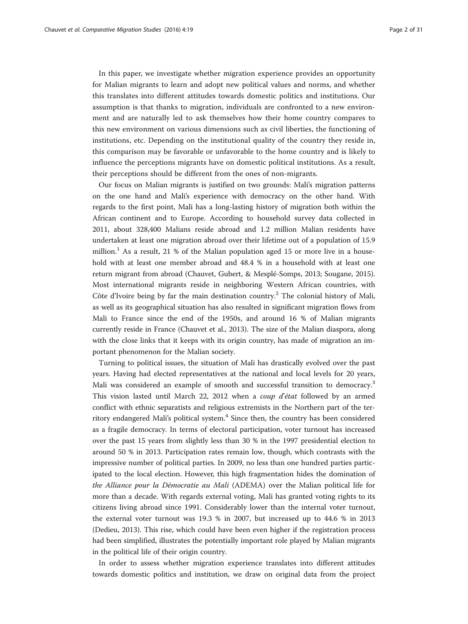In this paper, we investigate whether migration experience provides an opportunity for Malian migrants to learn and adopt new political values and norms, and whether this translates into different attitudes towards domestic politics and institutions. Our assumption is that thanks to migration, individuals are confronted to a new environment and are naturally led to ask themselves how their home country compares to this new environment on various dimensions such as civil liberties, the functioning of institutions, etc. Depending on the institutional quality of the country they reside in, this comparison may be favorable or unfavorable to the home country and is likely to influence the perceptions migrants have on domestic political institutions. As a result, their perceptions should be different from the ones of non-migrants.

Our focus on Malian migrants is justified on two grounds: Mali's migration patterns on the one hand and Mali's experience with democracy on the other hand. With regards to the first point, Mali has a long-lasting history of migration both within the African continent and to Europe. According to household survey data collected in 2011, about 328,400 Malians reside abroad and 1.2 million Malian residents have undertaken at least one migration abroad over their lifetime out of a population of 15.9 million.<sup>1</sup> As a result, 21 % of the Malian population aged 15 or more live in a household with at least one member abroad and 48.4 % in a household with at least one return migrant from abroad (Chauvet, Gubert, & Mesplé-Somps, [2013;](#page-29-0) Sougane, [2015](#page-30-0)). Most international migrants reside in neighboring Western African countries, with Côte d'Ivoire being by far the main destination country.<sup>2</sup> The colonial history of Mali, as well as its geographical situation has also resulted in significant migration flows from Mali to France since the end of the 1950s, and around 16 % of Malian migrants currently reside in France (Chauvet et al., [2013](#page-29-0)). The size of the Malian diaspora, along with the close links that it keeps with its origin country, has made of migration an important phenomenon for the Malian society.

Turning to political issues, the situation of Mali has drastically evolved over the past years. Having had elected representatives at the national and local levels for 20 years, Mali was considered an example of smooth and successful transition to democracy.<sup>3</sup> This vision lasted until March 22, 2012 when a coup d'état followed by an armed conflict with ethnic separatists and religious extremists in the Northern part of the territory endangered Mali's political system. $4$  Since then, the country has been considered as a fragile democracy. In terms of electoral participation, voter turnout has increased over the past 15 years from slightly less than 30 % in the 1997 presidential election to around 50 % in 2013. Participation rates remain low, though, which contrasts with the impressive number of political parties. In 2009, no less than one hundred parties participated to the local election. However, this high fragmentation hides the domination of the Alliance pour la Démocratie au Mali (ADEMA) over the Malian political life for more than a decade. With regards external voting, Mali has granted voting rights to its citizens living abroad since 1991. Considerably lower than the internal voter turnout, the external voter turnout was 19.3 % in 2007, but increased up to 44.6 % in 2013 (Dedieu, [2013\)](#page-29-0). This rise, which could have been even higher if the registration process had been simplified, illustrates the potentially important role played by Malian migrants in the political life of their origin country.

In order to assess whether migration experience translates into different attitudes towards domestic politics and institution, we draw on original data from the project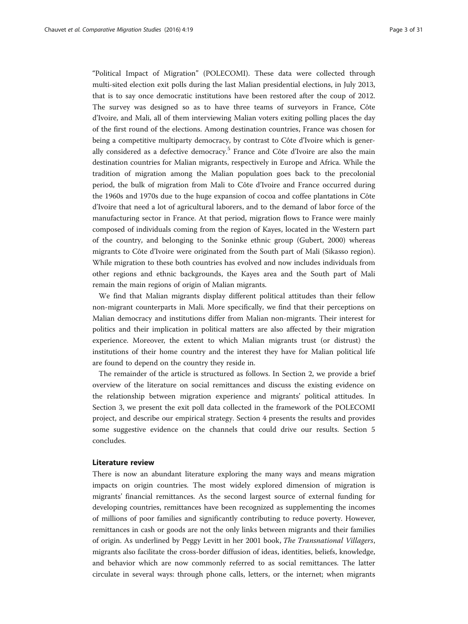"Political Impact of Migration" (POLECOMI). These data were collected through multi-sited election exit polls during the last Malian presidential elections, in July 2013, that is to say once democratic institutions have been restored after the coup of 2012. The survey was designed so as to have three teams of surveyors in France, Côte d'Ivoire, and Mali, all of them interviewing Malian voters exiting polling places the day of the first round of the elections. Among destination countries, France was chosen for being a competitive multiparty democracy, by contrast to Côte d'Ivoire which is generally considered as a defective democracy.<sup>5</sup> France and Côte d'Ivoire are also the main destination countries for Malian migrants, respectively in Europe and Africa. While the tradition of migration among the Malian population goes back to the precolonial period, the bulk of migration from Mali to Côte d'Ivoire and France occurred during the 1960s and 1970s due to the huge expansion of cocoa and coffee plantations in Côte d'Ivoire that need a lot of agricultural laborers, and to the demand of labor force of the manufacturing sector in France. At that period, migration flows to France were mainly composed of individuals coming from the region of Kayes, located in the Western part of the country, and belonging to the Soninke ethnic group (Gubert, [2000\)](#page-30-0) whereas migrants to Côte d'Ivoire were originated from the South part of Mali (Sikasso region). While migration to these both countries has evolved and now includes individuals from other regions and ethnic backgrounds, the Kayes area and the South part of Mali remain the main regions of origin of Malian migrants.

We find that Malian migrants display different political attitudes than their fellow non-migrant counterparts in Mali. More specifically, we find that their perceptions on Malian democracy and institutions differ from Malian non-migrants. Their interest for politics and their implication in political matters are also affected by their migration experience. Moreover, the extent to which Malian migrants trust (or distrust) the institutions of their home country and the interest they have for Malian political life are found to depend on the country they reside in.

The remainder of the article is structured as follows. In Section 2, we provide a brief overview of the literature on social remittances and discuss the existing evidence on the relationship between migration experience and migrants' political attitudes. In Section 3, we present the exit poll data collected in the framework of the POLECOMI project, and describe our empirical strategy. Section 4 presents the results and provides some suggestive evidence on the channels that could drive our results. Section 5 concludes.

#### Literature review

There is now an abundant literature exploring the many ways and means migration impacts on origin countries. The most widely explored dimension of migration is migrants' financial remittances. As the second largest source of external funding for developing countries, remittances have been recognized as supplementing the incomes of millions of poor families and significantly contributing to reduce poverty. However, remittances in cash or goods are not the only links between migrants and their families of origin. As underlined by Peggy Levitt in her 2001 book, The Transnational Villagers, migrants also facilitate the cross-border diffusion of ideas, identities, beliefs, knowledge, and behavior which are now commonly referred to as social remittances. The latter circulate in several ways: through phone calls, letters, or the internet; when migrants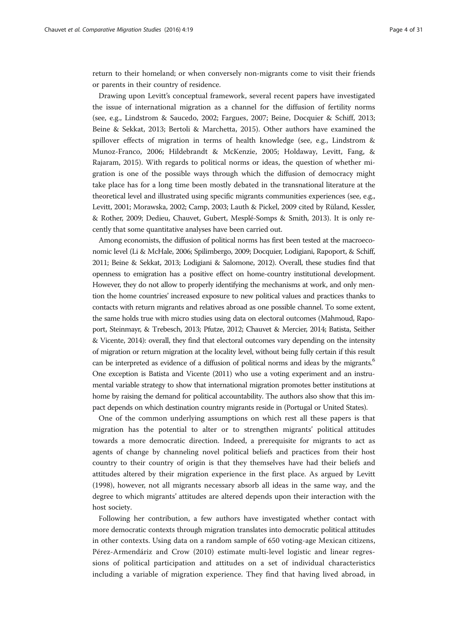return to their homeland; or when conversely non-migrants come to visit their friends or parents in their country of residence.

Drawing upon Levitt's conceptual framework, several recent papers have investigated the issue of international migration as a channel for the diffusion of fertility norms (see, e.g., Lindstrom & Saucedo, [2002](#page-30-0); Fargues, [2007](#page-29-0); Beine, Docquier & Schiff, [2013](#page-29-0); Beine & Sekkat, [2013;](#page-29-0) Bertoli & Marchetta, [2015\)](#page-29-0). Other authors have examined the spillover effects of migration in terms of health knowledge (see, e.g., Lindstrom & Munoz-Franco, [2006;](#page-30-0) Hildebrandt & McKenzie, [2005](#page-30-0); Holdaway, Levitt, Fang, & Rajaram, [2015\)](#page-30-0). With regards to political norms or ideas, the question of whether migration is one of the possible ways through which the diffusion of democracy might take place has for a long time been mostly debated in the transnational literature at the theoretical level and illustrated using specific migrants communities experiences (see, e.g., Levitt, [2001;](#page-30-0) Morawska, [2002](#page-30-0); Camp, [2003;](#page-29-0) Lauth & Pickel, [2009](#page-30-0) cited by Rüland, Kessler, & Rother, [2009](#page-30-0); Dedieu, Chauvet, Gubert, Mesplé-Somps & Smith, [2013](#page-29-0)). It is only recently that some quantitative analyses have been carried out.

Among economists, the diffusion of political norms has first been tested at the macroeconomic level (Li & McHale, [2006;](#page-30-0) Spilimbergo, [2009](#page-30-0); Docquier, Lodigiani, Rapoport, & Schiff, [2011](#page-29-0); Beine & Sekkat, [2013;](#page-29-0) Lodigiani & Salomone, [2012\)](#page-30-0). Overall, these studies find that openness to emigration has a positive effect on home-country institutional development. However, they do not allow to properly identifying the mechanisms at work, and only mention the home countries' increased exposure to new political values and practices thanks to contacts with return migrants and relatives abroad as one possible channel. To some extent, the same holds true with micro studies using data on electoral outcomes (Mahmoud, Rapoport, Steinmayr, & Trebesch, [2013;](#page-30-0) Pfutze, [2012;](#page-30-0) Chauvet & Mercier, [2014](#page-29-0); Batista, Seither & Vicente, [2014](#page-29-0)): overall, they find that electoral outcomes vary depending on the intensity of migration or return migration at the locality level, without being fully certain if this result can be interpreted as evidence of a diffusion of political norms and ideas by the migrants.6 One exception is Batista and Vicente ([2011](#page-29-0)) who use a voting experiment and an instrumental variable strategy to show that international migration promotes better institutions at home by raising the demand for political accountability. The authors also show that this impact depends on which destination country migrants reside in (Portugal or United States).

One of the common underlying assumptions on which rest all these papers is that migration has the potential to alter or to strengthen migrants' political attitudes towards a more democratic direction. Indeed, a prerequisite for migrants to act as agents of change by channeling novel political beliefs and practices from their host country to their country of origin is that they themselves have had their beliefs and attitudes altered by their migration experience in the first place. As argued by Levitt ([1998](#page-30-0)), however, not all migrants necessary absorb all ideas in the same way, and the degree to which migrants' attitudes are altered depends upon their interaction with the host society.

Following her contribution, a few authors have investigated whether contact with more democratic contexts through migration translates into democratic political attitudes in other contexts. Using data on a random sample of 650 voting-age Mexican citizens, Pérez-Armendáriz and Crow [\(2010](#page-30-0)) estimate multi-level logistic and linear regressions of political participation and attitudes on a set of individual characteristics including a variable of migration experience. They find that having lived abroad, in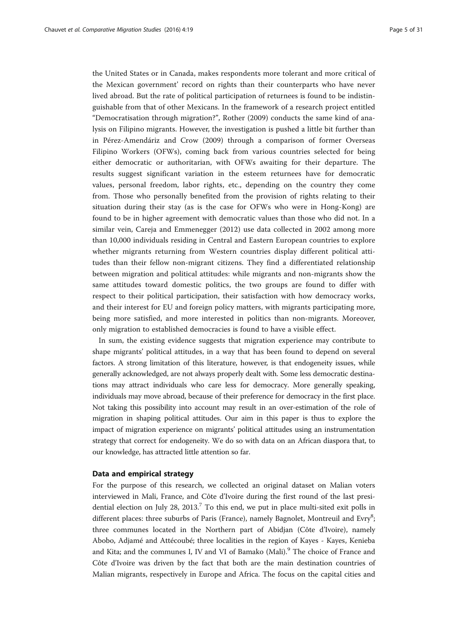the United States or in Canada, makes respondents more tolerant and more critical of the Mexican government' record on rights than their counterparts who have never lived abroad. But the rate of political participation of returnees is found to be indistinguishable from that of other Mexicans. In the framework of a research project entitled "Democratisation through migration?", Rother [\(2009](#page-30-0)) conducts the same kind of analysis on Filipino migrants. However, the investigation is pushed a little bit further than in Pérez-Amendáriz and Crow [\(2009](#page-30-0)) through a comparison of former Overseas Filipino Workers (OFWs), coming back from various countries selected for being either democratic or authoritarian, with OFWs awaiting for their departure. The results suggest significant variation in the esteem returnees have for democratic values, personal freedom, labor rights, etc., depending on the country they come from. Those who personally benefited from the provision of rights relating to their situation during their stay (as is the case for OFWs who were in Hong-Kong) are found to be in higher agreement with democratic values than those who did not. In a similar vein, Careja and Emmenegger ([2012](#page-29-0)) use data collected in 2002 among more than 10,000 individuals residing in Central and Eastern European countries to explore whether migrants returning from Western countries display different political attitudes than their fellow non-migrant citizens. They find a differentiated relationship between migration and political attitudes: while migrants and non-migrants show the same attitudes toward domestic politics, the two groups are found to differ with respect to their political participation, their satisfaction with how democracy works, and their interest for EU and foreign policy matters, with migrants participating more, being more satisfied, and more interested in politics than non-migrants. Moreover, only migration to established democracies is found to have a visible effect.

In sum, the existing evidence suggests that migration experience may contribute to shape migrants' political attitudes, in a way that has been found to depend on several factors. A strong limitation of this literature, however, is that endogeneity issues, while generally acknowledged, are not always properly dealt with. Some less democratic destinations may attract individuals who care less for democracy. More generally speaking, individuals may move abroad, because of their preference for democracy in the first place. Not taking this possibility into account may result in an over-estimation of the role of migration in shaping political attitudes. Our aim in this paper is thus to explore the impact of migration experience on migrants' political attitudes using an instrumentation strategy that correct for endogeneity. We do so with data on an African diaspora that, to our knowledge, has attracted little attention so far.

## Data and empirical strategy

For the purpose of this research, we collected an original dataset on Malian voters interviewed in Mali, France, and Côte d'Ivoire during the first round of the last presidential election on July 28, 2013.<sup>7</sup> To this end, we put in place multi-sited exit polls in different places: three suburbs of Paris (France), namely Bagnolet, Montreuil and Evry<sup>8</sup>; three communes located in the Northern part of Abidjan (Côte d'Ivoire), namely Abobo, Adjamé and Attécoubé; three localities in the region of Kayes - Kayes, Kenieba and Kita; and the communes I, IV and VI of Bamako (Mali).<sup>9</sup> The choice of France and Côte d'Ivoire was driven by the fact that both are the main destination countries of Malian migrants, respectively in Europe and Africa. The focus on the capital cities and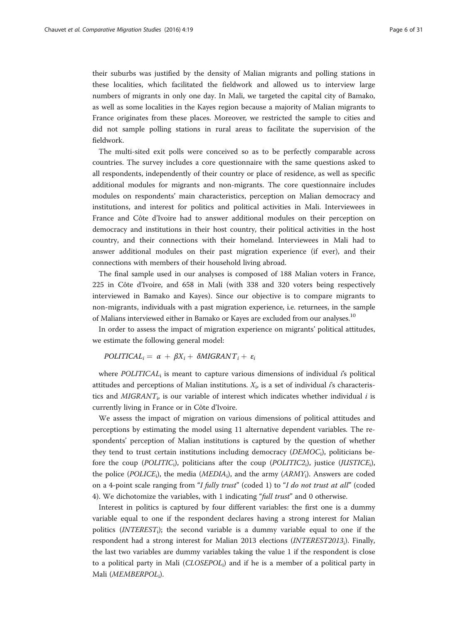their suburbs was justified by the density of Malian migrants and polling stations in these localities, which facilitated the fieldwork and allowed us to interview large numbers of migrants in only one day. In Mali, we targeted the capital city of Bamako, as well as some localities in the Kayes region because a majority of Malian migrants to France originates from these places. Moreover, we restricted the sample to cities and did not sample polling stations in rural areas to facilitate the supervision of the fieldwork.

The multi-sited exit polls were conceived so as to be perfectly comparable across countries. The survey includes a core questionnaire with the same questions asked to all respondents, independently of their country or place of residence, as well as specific additional modules for migrants and non-migrants. The core questionnaire includes modules on respondents' main characteristics, perception on Malian democracy and institutions, and interest for politics and political activities in Mali. Interviewees in France and Côte d'Ivoire had to answer additional modules on their perception on democracy and institutions in their host country, their political activities in the host country, and their connections with their homeland. Interviewees in Mali had to answer additional modules on their past migration experience (if ever), and their connections with members of their household living abroad.

The final sample used in our analyses is composed of 188 Malian voters in France, 225 in Côte d'Ivoire, and 658 in Mali (with 338 and 320 voters being respectively interviewed in Bamako and Kayes). Since our objective is to compare migrants to non-migrants, individuals with a past migration experience, i.e. returnees, in the sample of Malians interviewed either in Bamako or Kayes are excluded from our analyses.<sup>10</sup>

In order to assess the impact of migration experience on migrants' political attitudes, we estimate the following general model:

#### POLITICAL<sub>i</sub> =  $\alpha$  +  $\beta X_i$  +  $\delta$ MIGRANT<sub>i</sub> +  $\varepsilon_i$

where POLITICAL<sub>i</sub> is meant to capture various dimensions of individual i's political attitudes and perceptions of Malian institutions.  $X_i$ , is a set of individual *i*'s characteristics and MIGRANT<sub>i</sub>, is our variable of interest which indicates whether individual i is currently living in France or in Côte d'Ivoire.

We assess the impact of migration on various dimensions of political attitudes and perceptions by estimating the model using 11 alternative dependent variables. The respondents' perception of Malian institutions is captured by the question of whether they tend to trust certain institutions including democracy  $(DEMOC_i)$ , politicians before the coup (POLITIC<sub>i</sub>), politicians after the coup (POLITIC2<sub>i</sub>), justice (*JUSTICE<sub>i</sub>*), the police (POLICE<sub>i</sub>), the media (MEDIA<sub>i</sub>), and the army (ARMY<sub>i</sub>). Answers are coded on a 4-point scale ranging from "I fully trust" (coded 1) to "I do not trust at all" (coded 4). We dichotomize the variables, with 1 indicating "full trust" and 0 otherwise.

Interest in politics is captured by four different variables: the first one is a dummy variable equal to one if the respondent declares having a strong interest for Malian politics  $(INTEREST<sub>i</sub>)$ ; the second variable is a dummy variable equal to one if the respondent had a strong interest for Malian 2013 elections (INTEREST2013i). Finally, the last two variables are dummy variables taking the value 1 if the respondent is close to a political party in Mali  $(CLOSE POL_i)$  and if he is a member of a political party in Mali (MEMBERPOL<sub>i</sub>).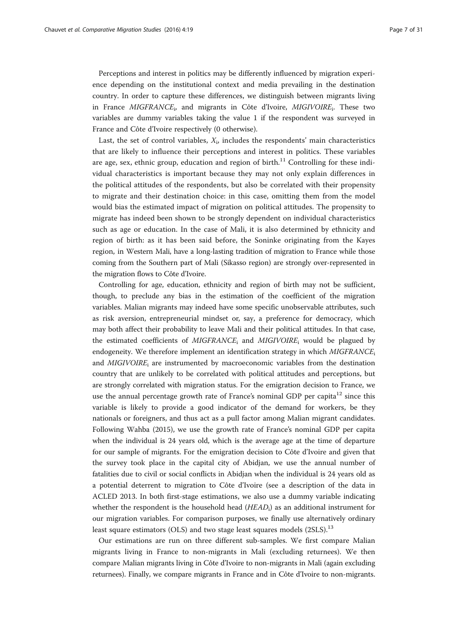Perceptions and interest in politics may be differently influenced by migration experience depending on the institutional context and media prevailing in the destination country. In order to capture these differences, we distinguish between migrants living in France  $MIGFRANCE_i$ , and migrants in Côte d'Ivoire,  $MIGIVOIRE_i$ . These two variables are dummy variables taking the value 1 if the respondent was surveyed in France and Côte d'Ivoire respectively (0 otherwise).

Last, the set of control variables,  $X_i$ , includes the respondents' main characteristics that are likely to influence their perceptions and interest in politics. These variables are age, sex, ethnic group, education and region of birth. $^{11}$  Controlling for these individual characteristics is important because they may not only explain differences in the political attitudes of the respondents, but also be correlated with their propensity to migrate and their destination choice: in this case, omitting them from the model would bias the estimated impact of migration on political attitudes. The propensity to migrate has indeed been shown to be strongly dependent on individual characteristics such as age or education. In the case of Mali, it is also determined by ethnicity and region of birth: as it has been said before, the Soninke originating from the Kayes region, in Western Mali, have a long-lasting tradition of migration to France while those coming from the Southern part of Mali (Sikasso region) are strongly over-represented in the migration flows to Côte d'Ivoire.

Controlling for age, education, ethnicity and region of birth may not be sufficient, though, to preclude any bias in the estimation of the coefficient of the migration variables. Malian migrants may indeed have some specific unobservable attributes, such as risk aversion, entrepreneurial mindset or, say, a preference for democracy, which may both affect their probability to leave Mali and their political attitudes. In that case, the estimated coefficients of  $MIGFRANCE$ <sub>i</sub> and  $MIGIVOIRE$ <sub>i</sub> would be plagued by endogeneity. We therefore implement an identification strategy in which  $MIGFRANCE_i$ and  $MIGIVOIRE_i$  are instrumented by macroeconomic variables from the destination country that are unlikely to be correlated with political attitudes and perceptions, but are strongly correlated with migration status. For the emigration decision to France, we use the annual percentage growth rate of France's nominal GDP per capita $12$  since this variable is likely to provide a good indicator of the demand for workers, be they nationals or foreigners, and thus act as a pull factor among Malian migrant candidates. Following Wahba ([2015](#page-30-0)), we use the growth rate of France's nominal GDP per capita when the individual is 24 years old, which is the average age at the time of departure for our sample of migrants. For the emigration decision to Côte d'Ivoire and given that the survey took place in the capital city of Abidjan, we use the annual number of fatalities due to civil or social conflicts in Abidjan when the individual is 24 years old as a potential deterrent to migration to Côte d'Ivoire (see a description of the data in ACLED [2013](#page-29-0). In both first-stage estimations, we also use a dummy variable indicating whether the respondent is the household head  $(HEAD_i)$  as an additional instrument for our migration variables. For comparison purposes, we finally use alternatively ordinary least square estimators (OLS) and two stage least squares models (2SLS).<sup>13</sup>

Our estimations are run on three different sub-samples. We first compare Malian migrants living in France to non-migrants in Mali (excluding returnees). We then compare Malian migrants living in Côte d'Ivoire to non-migrants in Mali (again excluding returnees). Finally, we compare migrants in France and in Côte d'Ivoire to non-migrants.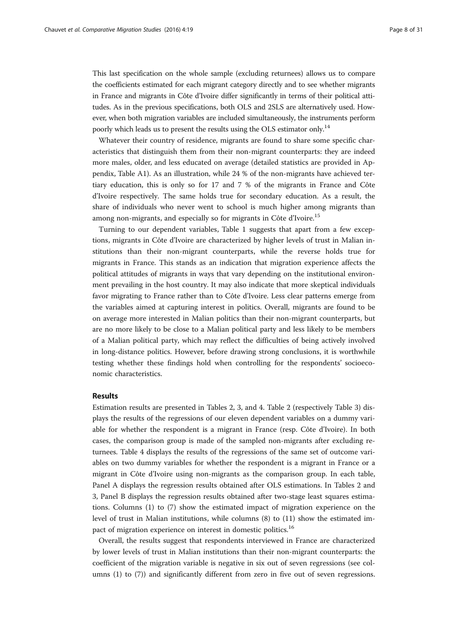This last specification on the whole sample (excluding returnees) allows us to compare the coefficients estimated for each migrant category directly and to see whether migrants in France and migrants in Côte d'Ivoire differ significantly in terms of their political attitudes. As in the previous specifications, both OLS and 2SLS are alternatively used. However, when both migration variables are included simultaneously, the instruments perform poorly which leads us to present the results using the OLS estimator only.<sup>14</sup>

Whatever their country of residence, migrants are found to share some specific characteristics that distinguish them from their non-migrant counterparts: they are indeed more males, older, and less educated on average (detailed statistics are provided in [Ap](#page-21-0)[pendix](#page-21-0), Table A1). As an illustration, while 24 % of the non-migrants have achieved tertiary education, this is only so for 17 and 7 % of the migrants in France and Côte d'Ivoire respectively. The same holds true for secondary education. As a result, the share of individuals who never went to school is much higher among migrants than among non-migrants, and especially so for migrants in Côte d'Ivoire.<sup>15</sup>

Turning to our dependent variables, Table [1](#page-8-0) suggests that apart from a few exceptions, migrants in Côte d'Ivoire are characterized by higher levels of trust in Malian institutions than their non-migrant counterparts, while the reverse holds true for migrants in France. This stands as an indication that migration experience affects the political attitudes of migrants in ways that vary depending on the institutional environment prevailing in the host country. It may also indicate that more skeptical individuals favor migrating to France rather than to Côte d'Ivoire. Less clear patterns emerge from the variables aimed at capturing interest in politics. Overall, migrants are found to be on average more interested in Malian politics than their non-migrant counterparts, but are no more likely to be close to a Malian political party and less likely to be members of a Malian political party, which may reflect the difficulties of being actively involved in long-distance politics. However, before drawing strong conclusions, it is worthwhile testing whether these findings hold when controlling for the respondents' socioeconomic characteristics.

### Results

Estimation results are presented in Tables [2,](#page-9-0) [3,](#page-10-0) and [4.](#page-11-0) Table [2](#page-9-0) (respectively Table [3](#page-10-0)) displays the results of the regressions of our eleven dependent variables on a dummy variable for whether the respondent is a migrant in France (resp. Côte d'Ivoire). In both cases, the comparison group is made of the sampled non-migrants after excluding returnees. Table [4](#page-11-0) displays the results of the regressions of the same set of outcome variables on two dummy variables for whether the respondent is a migrant in France or a migrant in Côte d'Ivoire using non-migrants as the comparison group. In each table, Panel A displays the regression results obtained after OLS estimations. In Tables [2](#page-9-0) and [3,](#page-10-0) Panel B displays the regression results obtained after two-stage least squares estimations. Columns (1) to (7) show the estimated impact of migration experience on the level of trust in Malian institutions, while columns (8) to (11) show the estimated impact of migration experience on interest in domestic politics.<sup>16</sup>

Overall, the results suggest that respondents interviewed in France are characterized by lower levels of trust in Malian institutions than their non-migrant counterparts: the coefficient of the migration variable is negative in six out of seven regressions (see columns (1) to (7)) and significantly different from zero in five out of seven regressions.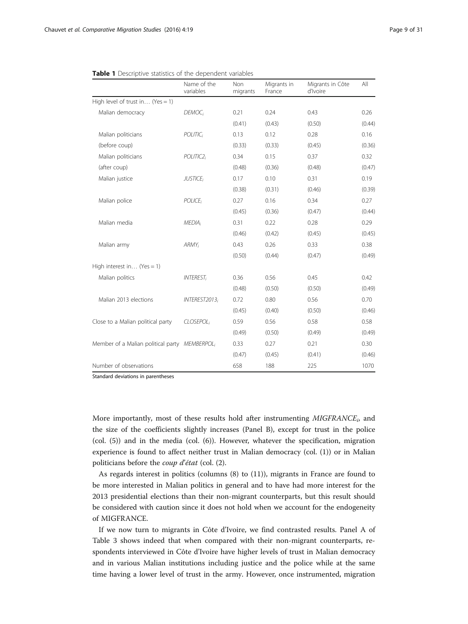|                                               | Name of the<br>variables | <b>Non</b><br>migrants | Migrants in<br>France | Migrants in Côte<br>d'Ivoire | All    |
|-----------------------------------------------|--------------------------|------------------------|-----------------------|------------------------------|--------|
| High level of trust in (Yes = 1)              |                          |                        |                       |                              |        |
| Malian democracy                              | DEMOC <sub>i</sub>       | 0.21                   | 0.24                  | 0.43                         | 0.26   |
|                                               |                          | (0.41)                 | (0.43)                | (0.50)                       | (0.44) |
| Malian politicians                            | <b>POLITIC</b>           | 0.13                   | 0.12                  | 0.28                         | 0.16   |
| (before coup)                                 |                          | (0.33)                 | (0.33)                | (0.45)                       | (0.36) |
| Malian politicians                            | POLITIC2 <sub>i</sub>    | 0.34                   | 0.15                  | 0.37                         | 0.32   |
| (after coup)                                  |                          | (0.48)                 | (0.36)                | (0.48)                       | (0.47) |
| Malian justice                                | <b>JUSTICE</b>           | 0.17                   | 0.10                  | 0.31                         | 0.19   |
|                                               |                          | (0.38)                 | (0.31)                | (0.46)                       | (0.39) |
| Malian police                                 | <b>POLICE</b>            | 0.27                   | 0.16                  | 0.34                         | 0.27   |
|                                               |                          | (0.45)                 | (0.36)                | (0.47)                       | (0.44) |
| Malian media                                  | MEDIA <sub>i</sub>       | 0.31                   | 0.22                  | 0.28                         | 0.29   |
|                                               |                          | (0.46)                 | (0.42)                | (0.45)                       | (0.45) |
| Malian army                                   | ARMY <sub>i</sub>        | 0.43                   | 0.26                  | 0.33                         | 0.38   |
|                                               |                          | (0.50)                 | (0.44)                | (0.47)                       | (0.49) |
| High interest in (Yes = 1)                    |                          |                        |                       |                              |        |
| Malian politics                               | <b>INTEREST</b>          | 0.36                   | 0.56                  | 0.45                         | 0.42   |
|                                               |                          | (0.48)                 | (0.50)                | (0.50)                       | (0.49) |
| Malian 2013 elections                         | INTEREST2013;            | 0.72                   | 0.80                  | 0.56                         | 0.70   |
|                                               |                          | (0.45)                 | (0.40)                | (0.50)                       | (0.46) |
| Close to a Malian political party             | CLOSEPOL <sub>i</sub>    | 0.59                   | 0.56                  | 0.58                         | 0.58   |
|                                               |                          | (0.49)                 | (0.50)                | (0.49)                       | (0.49) |
| Member of a Malian political party MEMBERPOL; |                          | 0.33                   | 0.27                  | 0.21                         | 0.30   |
|                                               |                          | (0.47)                 | (0.45)                | (0.41)                       | (0.46) |
| Number of observations                        |                          | 658                    | 188                   | 225                          | 1070   |

<span id="page-8-0"></span>

|  |  |  | <b>Table 1</b> Descriptive statistics of the dependent variables |  |  |  |  |  |  |  |
|--|--|--|------------------------------------------------------------------|--|--|--|--|--|--|--|
|--|--|--|------------------------------------------------------------------|--|--|--|--|--|--|--|

Standard deviations in parentheses

More importantly, most of these results hold after instrumenting  $MIGFRANCE<sub>i</sub>$  and the size of the coefficients slightly increases (Panel B), except for trust in the police (col. (5)) and in the media (col. (6)). However, whatever the specification, migration experience is found to affect neither trust in Malian democracy (col. (1)) or in Malian politicians before the coup d'état (col. (2).

As regards interest in politics (columns (8) to (11)), migrants in France are found to be more interested in Malian politics in general and to have had more interest for the 2013 presidential elections than their non-migrant counterparts, but this result should be considered with caution since it does not hold when we account for the endogeneity of MIGFRANCE.

If we now turn to migrants in Côte d'Ivoire, we find contrasted results. Panel A of Table [3](#page-10-0) shows indeed that when compared with their non-migrant counterparts, respondents interviewed in Côte d'Ivoire have higher levels of trust in Malian democracy and in various Malian institutions including justice and the police while at the same time having a lower level of trust in the army. However, once instrumented, migration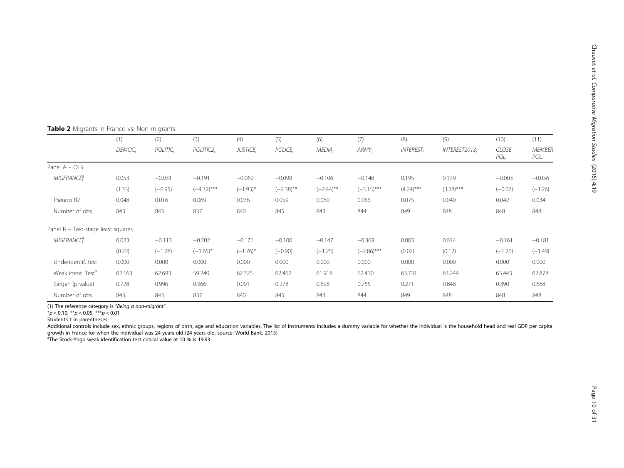| ◡                                 |              | ◡                    |                       |                      |                     |                    |                   |                 |               |                                  |                                   |
|-----------------------------------|--------------|----------------------|-----------------------|----------------------|---------------------|--------------------|-------------------|-----------------|---------------|----------------------------------|-----------------------------------|
|                                   | (1)          | (2)                  | (3)                   | (4)                  | (5)                 | (6)                | (7)               | (8)             | (9)           | (10)                             | (11)                              |
|                                   | <b>DEMOC</b> | POLITIC <sub>i</sub> | POLITIC2 <sub>i</sub> | JUSTICE <sub>i</sub> | POLICE <sub>i</sub> | MEDIA <sub>i</sub> | ARMY <sub>i</sub> | <b>INTEREST</b> | INTEREST2013; | <b>CLOSE</b><br>POL <sub>i</sub> | <b>MEMBER</b><br>POL <sub>i</sub> |
| Panel $A - OLS$                   |              |                      |                       |                      |                     |                    |                   |                 |               |                                  |                                   |
| MIGFRANCE <sup>a</sup>            | 0.053        | $-0.031$             | $-0.191$              | $-0.069$             | $-0.098$            | $-0.106$           | $-0.148$          | 0.195           | 0.139         | $-0.003$                         | $-0.056$                          |
|                                   | (1.33)       | $(-0.95)$            | $(-4.32)$ ***         | $(-1.93)^{*}$        | $(-2.38)$ **        | $(-2.44)$ **       | $(-3.15)$ ***     | $(4.24)$ ***    | $(3.28)$ ***  | $(-0.07)$                        | $(-1.26)$                         |
| Pseudo R2                         | 0.048        | 0.016                | 0.069                 | 0.036                | 0.059               | 0.060              | 0.056             | 0.075           | 0.040         | 0.042                            | 0.034                             |
| Number of obs.                    | 843          | 843                  | 837                   | 840                  | 845                 | 843                | 844               | 849             | 848           | 848                              | 848                               |
| Panel B - Two-stage least squares |              |                      |                       |                      |                     |                    |                   |                 |               |                                  |                                   |
| MIGFRANCE <sup>a</sup>            | 0.023        | $-0.113$             | $-0.202$              | $-0.171$             | $-0.100$            | $-0.147$           | $-0.368$          | 0.003           | 0.014         | $-0.161$                         | $-0.181$                          |
|                                   | (0.22)       | $(-1.28)$            | $(-1.65)^*$           | $(-1.76)^{*}$        | $(-0.90)$           | $(-1.25)$          | $(-2.86)$ ***     | (0.02)          | (0.12)        | $(-1.26)$                        | $(-1.49)$                         |
| Underidentif. test                | 0.000        | 0.000                | 0.000                 | 0.000                | 0.000               | 0.000              | 0.000             | 0.000           | 0.000         | 0.000                            | 0.000                             |
| Weak ident. Test <sup>a</sup>     | 62.163       | 62.693               | 59.240                | 62.325               | 62.462              | 61.918             | 62.410            | 63.731          | 63.244        | 63.443                           | 62.878                            |
| Sargan (p-value)                  | 0.728        | 0.996                | 0.966                 | 0.091                | 0.278               | 0.698              | 0.755             | 0.271           | 0.848         | 0.390                            | 0.688                             |
| Number of obs.                    | 843          | 843                  | 837                   | 840                  | 845                 | 843                | 844               | 849             | 848           | 848                              | 848                               |

<span id="page-9-0"></span>Table 2 Migrants in France vs. Non-migrants

(1) The reference category is "Being a non-migrant"

 $*_{p}$  < 0.10,  $*_{p}$  < 0.05,  $*_{p}$  < 0.01

Student's t in parentheses

Additional controls include sex, ethnic groups, regions of birth, age and education variables. The list of instruments includes a dummy variable for whether the individual is the household head and real GDP per capita growth in France for when the individual was 24 years old (24 years-old, source: World Bank, [2015](#page-30-0))

 $a^2$ The Stock-Yogo weak identification test critical value at 10 % is 19.93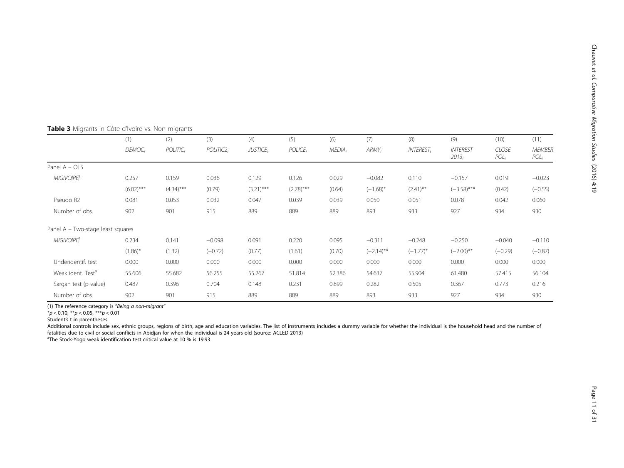|                                   | (1)                | (2)                  | (3)                   | (4)            | (5)                 | (6)                | (7)               | (8)             | (9)                         | (10)                             | (11)                       |
|-----------------------------------|--------------------|----------------------|-----------------------|----------------|---------------------|--------------------|-------------------|-----------------|-----------------------------|----------------------------------|----------------------------|
|                                   | DEMOC <sub>i</sub> | POLITIC <sub>i</sub> | POLITIC2 <sub>i</sub> | <b>JUSTICE</b> | POLICE <sub>i</sub> | MEDIA <sub>i</sub> | ARMY <sub>i</sub> | <b>INTEREST</b> | <b>INTEREST</b><br>$2013_i$ | <b>CLOSE</b><br>POL <sub>i</sub> | MEMBER<br>POL <sub>i</sub> |
| Panel A - OLS                     |                    |                      |                       |                |                     |                    |                   |                 |                             |                                  |                            |
| MIGIVOIRE <sup>a</sup>            | 0.257              | 0.159                | 0.036                 | 0.129          | 0.126               | 0.029              | $-0.082$          | 0.110           | $-0.157$                    | 0.019                            | $-0.023$                   |
|                                   | $(6.02)$ ***       | $(4.34)$ ***         | (0.79)                | $(3.21)$ ***   | $(2.78)$ ***        | (0.64)             | $(-1.68)^*$       | $(2.41)$ **     | $(-3.58)$ ***               | (0.42)                           | $(-0.55)$                  |
| Pseudo R2                         | 0.081              | 0.053                | 0.032                 | 0.047          | 0.039               | 0.039              | 0.050             | 0.051           | 0.078                       | 0.042                            | 0.060                      |
| Number of obs.                    | 902                | 901                  | 915                   | 889            | 889                 | 889                | 893               | 933             | 927                         | 934                              | 930                        |
| Panel A - Two-stage least squares |                    |                      |                       |                |                     |                    |                   |                 |                             |                                  |                            |
| <b>MIGIVOIRE</b>                  | 0.234              | 0.141                | $-0.098$              | 0.091          | 0.220               | 0.095              | $-0.311$          | $-0.248$        | $-0.250$                    | $-0.040$                         | $-0.110$                   |
|                                   | $(1.86)^*$         | (1.32)               | $(-0.72)$             | (0.77)         | (1.61)              | (0.70)             | $(-2.14)$ **      | $(-1.77)^{*}$   | $(-2.00)$ **                | $(-0.29)$                        | $(-0.87)$                  |
| Underidentif. test                | 0.000              | 0.000                | 0.000                 | 0.000          | 0.000               | 0.000              | 0.000             | 0.000           | 0.000                       | 0.000                            | 0.000                      |
| Weak ident. Test <sup>a</sup>     | 55.606             | 55.682               | 56.255                | 55.267         | 51.814              | 52.386             | 54.637            | 55.904          | 61.480                      | 57.415                           | 56.104                     |
| Sargan test (p value)             | 0.487              | 0.396                | 0.704                 | 0.148          | 0.231               | 0.899              | 0.282             | 0.505           | 0.367                       | 0.773                            | 0.216                      |
| Number of obs.                    | 902                | 901                  | 915                   | 889            | 889                 | 889                | 893               | 933             | 927                         | 934                              | 930                        |

<span id="page-10-0"></span>Table 3 Migrants in Côte d'Ivoire vs. Non-migrants

(1) The reference category is "Being a non-migrant"

 $*_{p}$  < 0.10, \*\*p < 0.05, \*\*\*p < 0.01

Student's t in parentheses

Additional controls include sex, ethnic groups, regions of birth, age and education variables. The list of instruments includes a dummy variable for whether the individual is the household head and the number of fatalities due to civil or social conflicts in Abidjan for when the individual is 24 years old (source: ACLED [2013](#page-29-0))

<sup>a</sup>The Stock-Yogo weak identification test critical value at 10 % is 19.93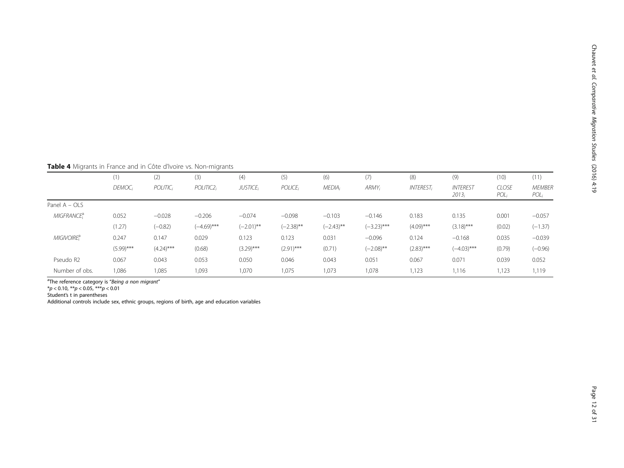<span id="page-11-0"></span>Table 4 Migrants in France and in Côte d'Ivoire vs. Non-migrants

| $\tilde{}$             |              |                      | $\overline{\phantom{0}}$ |                             |                     |                    |                   |                 |                             |                                  |                                   |
|------------------------|--------------|----------------------|--------------------------|-----------------------------|---------------------|--------------------|-------------------|-----------------|-----------------------------|----------------------------------|-----------------------------------|
|                        | (1)          | (2)                  | (3)                      | (4)                         | (5)                 | (6)                | (7)               | (8)             | (9)                         | (10)                             | (11)                              |
|                        | $DEMOC_i$    | POLITIC <sub>i</sub> | POLITIC2 <sub>i</sub>    | <b>JUSTICE</b> <sub>i</sub> | POLICE <sub>i</sub> | MEDIA <sub>i</sub> | ARMY <sub>i</sub> | <b>INTEREST</b> | <b>INTEREST</b><br>$2013_i$ | <b>CLOSE</b><br>POL <sub>i</sub> | <b>MEMBER</b><br>POL <sub>i</sub> |
| Panel $A - OLS$        |              |                      |                          |                             |                     |                    |                   |                 |                             |                                  |                                   |
| MIGFRANCE <sup>a</sup> | 0.052        | $-0.028$             | $-0.206$                 | $-0.074$                    | $-0.098$            | $-0.103$           | $-0.146$          | 0.183           | 0.135                       | 0.001                            | $-0.057$                          |
|                        | (1.27)       | $(-0.82)$            | $(-4.69)$ ***            | $(-2.01)$ **                | $(-2.38)$ **        | $(-2.43)$ **       | $(-3.23)$ ***     | $(4.09)$ ***    | $(3.18)$ ***                | (0.02)                           | $(-1.37)$                         |
| <b>MIGIVOIRE</b>       | 0.247        | 0.147                | 0.029                    | 0.123                       | 0.123               | 0.031              | $-0.096$          | 0.124           | $-0.168$                    | 0.035                            | $-0.039$                          |
|                        | $(5.99)$ *** | $(4.24)$ ***         | (0.68)                   | $(3.29)$ ***                | $(2.91)$ ***        | (0.71)             | $(-2.08)$ **      | $(2.83)$ ***    | $(-4.03)$ ***               | (0.79)                           | $(-0.96)$                         |
| Pseudo R2              | 0.067        | 0.043                | 0.053                    | 0.050                       | 0.046               | 0.043              | 0.051             | 0.067           | 0.071                       | 0.039                            | 0.052                             |
| Number of obs.         | 1,086        | 1,085                | 1,093                    | 1,070                       | 1,075               | 1,073              | 1,078             | 1,123           | 1,116                       | 1,123                            | 1,119                             |

<sup>a</sup>The reference category is "Being a non migrant"

 $**p* < 0.10, ***p* < 0.05, ***p* < 0.01$ 

Student's t in parentheses

Additional controls include sex, ethnic groups, regions of birth, age and education variables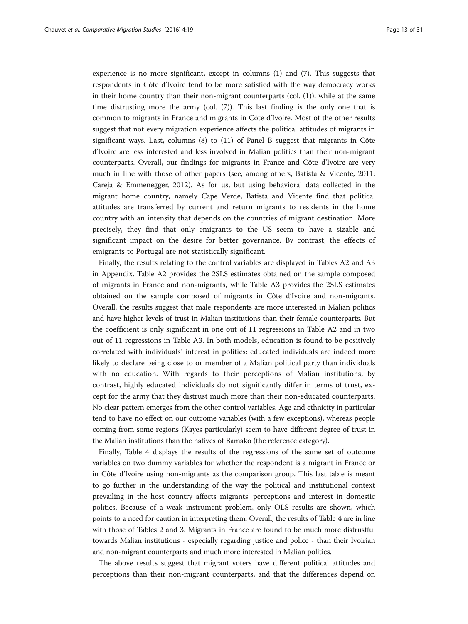experience is no more significant, except in columns (1) and (7). This suggests that respondents in Côte d'Ivoire tend to be more satisfied with the way democracy works in their home country than their non-migrant counterparts (col.  $(1)$ ), while at the same time distrusting more the army (col. (7)). This last finding is the only one that is common to migrants in France and migrants in Côte d'Ivoire. Most of the other results suggest that not every migration experience affects the political attitudes of migrants in significant ways. Last, columns (8) to (11) of Panel B suggest that migrants in Côte d'Ivoire are less interested and less involved in Malian politics than their non-migrant counterparts. Overall, our findings for migrants in France and Côte d'Ivoire are very much in line with those of other papers (see, among others, Batista & Vicente, [2011](#page-29-0); Careja & Emmenegger, [2012\)](#page-29-0). As for us, but using behavioral data collected in the migrant home country, namely Cape Verde, Batista and Vicente find that political attitudes are transferred by current and return migrants to residents in the home country with an intensity that depends on the countries of migrant destination. More precisely, they find that only emigrants to the US seem to have a sizable and significant impact on the desire for better governance. By contrast, the effects of emigrants to Portugal are not statistically significant.

Finally, the results relating to the control variables are displayed in Tables A2 and A3 in [Appendix.](#page-21-0) Table A2 provides the 2SLS estimates obtained on the sample composed of migrants in France and non-migrants, while Table A3 provides the 2SLS estimates obtained on the sample composed of migrants in Côte d'Ivoire and non-migrants. Overall, the results suggest that male respondents are more interested in Malian politics and have higher levels of trust in Malian institutions than their female counterparts. But the coefficient is only significant in one out of 11 regressions in Table A2 and in two out of 11 regressions in Table A3. In both models, education is found to be positively correlated with individuals' interest in politics: educated individuals are indeed more likely to declare being close to or member of a Malian political party than individuals with no education. With regards to their perceptions of Malian institutions, by contrast, highly educated individuals do not significantly differ in terms of trust, except for the army that they distrust much more than their non-educated counterparts. No clear pattern emerges from the other control variables. Age and ethnicity in particular tend to have no effect on our outcome variables (with a few exceptions), whereas people coming from some regions (Kayes particularly) seem to have different degree of trust in the Malian institutions than the natives of Bamako (the reference category).

Finally, Table [4](#page-11-0) displays the results of the regressions of the same set of outcome variables on two dummy variables for whether the respondent is a migrant in France or in Côte d'Ivoire using non-migrants as the comparison group. This last table is meant to go further in the understanding of the way the political and institutional context prevailing in the host country affects migrants' perceptions and interest in domestic politics. Because of a weak instrument problem, only OLS results are shown, which points to a need for caution in interpreting them. Overall, the results of Table [4](#page-11-0) are in line with those of Tables [2](#page-9-0) and [3](#page-10-0). Migrants in France are found to be much more distrustful towards Malian institutions - especially regarding justice and police - than their Ivoirian and non-migrant counterparts and much more interested in Malian politics.

The above results suggest that migrant voters have different political attitudes and perceptions than their non-migrant counterparts, and that the differences depend on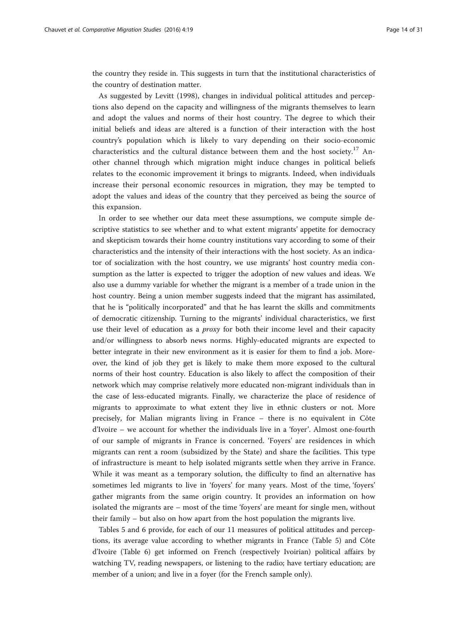the country they reside in. This suggests in turn that the institutional characteristics of the country of destination matter.

As suggested by Levitt [\(1998](#page-30-0)), changes in individual political attitudes and perceptions also depend on the capacity and willingness of the migrants themselves to learn and adopt the values and norms of their host country. The degree to which their initial beliefs and ideas are altered is a function of their interaction with the host country's population which is likely to vary depending on their socio-economic characteristics and the cultural distance between them and the host society.<sup>17</sup> Another channel through which migration might induce changes in political beliefs relates to the economic improvement it brings to migrants. Indeed, when individuals increase their personal economic resources in migration, they may be tempted to adopt the values and ideas of the country that they perceived as being the source of this expansion.

In order to see whether our data meet these assumptions, we compute simple descriptive statistics to see whether and to what extent migrants' appetite for democracy and skepticism towards their home country institutions vary according to some of their characteristics and the intensity of their interactions with the host society. As an indicator of socialization with the host country, we use migrants' host country media consumption as the latter is expected to trigger the adoption of new values and ideas. We also use a dummy variable for whether the migrant is a member of a trade union in the host country. Being a union member suggests indeed that the migrant has assimilated, that he is "politically incorporated" and that he has learnt the skills and commitments of democratic citizenship. Turning to the migrants' individual characteristics, we first use their level of education as a *proxy* for both their income level and their capacity and/or willingness to absorb news norms. Highly-educated migrants are expected to better integrate in their new environment as it is easier for them to find a job. Moreover, the kind of job they get is likely to make them more exposed to the cultural norms of their host country. Education is also likely to affect the composition of their network which may comprise relatively more educated non-migrant individuals than in the case of less-educated migrants. Finally, we characterize the place of residence of migrants to approximate to what extent they live in ethnic clusters or not. More precisely, for Malian migrants living in France – there is no equivalent in Côte d'Ivoire – we account for whether the individuals live in a 'foyer'. Almost one-fourth of our sample of migrants in France is concerned. 'Foyers' are residences in which migrants can rent a room (subsidized by the State) and share the facilities. This type of infrastructure is meant to help isolated migrants settle when they arrive in France. While it was meant as a temporary solution, the difficulty to find an alternative has sometimes led migrants to live in 'foyers' for many years. Most of the time, 'foyers' gather migrants from the same origin country. It provides an information on how isolated the migrants are – most of the time 'foyers' are meant for single men, without their family – but also on how apart from the host population the migrants live.

Tables [5](#page-14-0) and [6](#page-16-0) provide, for each of our 11 measures of political attitudes and perceptions, its average value according to whether migrants in France (Table [5](#page-14-0)) and Côte d'Ivoire (Table [6\)](#page-16-0) get informed on French (respectively Ivoirian) political affairs by watching TV, reading newspapers, or listening to the radio; have tertiary education; are member of a union; and live in a foyer (for the French sample only).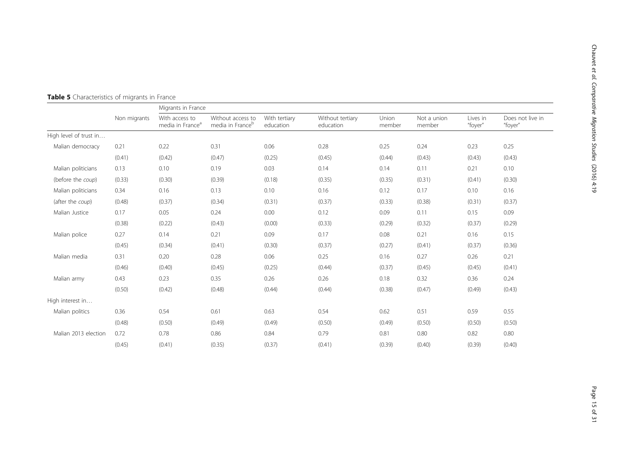|                        |              | Migrants in France                             |                                                   |                            |                               |                 |                       |                     |                             |
|------------------------|--------------|------------------------------------------------|---------------------------------------------------|----------------------------|-------------------------------|-----------------|-----------------------|---------------------|-----------------------------|
|                        | Non migrants | With access to<br>media in France <sup>a</sup> | Without access to<br>media in France <sup>b</sup> | With tertiary<br>education | Without tertiary<br>education | Union<br>member | Not a union<br>member | Lives in<br>"foyer" | Does not live in<br>"foyer" |
| High level of trust in |              |                                                |                                                   |                            |                               |                 |                       |                     |                             |
| Malian democracy       | 0.21         | 0.22                                           | 0.31                                              | 0.06                       | 0.28                          | 0.25            | 0.24                  | 0.23                | 0.25                        |
|                        | (0.41)       | (0.42)                                         | (0.47)                                            | (0.25)                     | (0.45)                        | (0.44)          | (0.43)                | (0.43)              | (0.43)                      |
| Malian politicians     | 0.13         | 0.10                                           | 0.19                                              | 0.03                       | 0.14                          | 0.14            | 0.11                  | 0.21                | 0.10                        |
| (before the coup)      | (0.33)       | (0.30)                                         | (0.39)                                            | (0.18)                     | (0.35)                        | (0.35)          | (0.31)                | (0.41)              | (0.30)                      |
| Malian politicians     | 0.34         | 0.16                                           | 0.13                                              | 0.10                       | 0.16                          | 0.12            | 0.17                  | 0.10                | 0.16                        |
| (after the coup)       | (0.48)       | (0.37)                                         | (0.34)                                            | (0.31)                     | (0.37)                        | (0.33)          | (0.38)                | (0.31)              | (0.37)                      |
| Malian Justice         | 0.17         | 0.05                                           | 0.24                                              | 0.00                       | 0.12                          | 0.09            | 0.11                  | 0.15                | 0.09                        |
|                        | (0.38)       | (0.22)                                         | (0.43)                                            | (0.00)                     | (0.33)                        | (0.29)          | (0.32)                | (0.37)              | (0.29)                      |
| Malian police          | 0.27         | 0.14                                           | 0.21                                              | 0.09                       | 0.17                          | 0.08            | 0.21                  | 0.16                | 0.15                        |
|                        | (0.45)       | (0.34)                                         | (0.41)                                            | (0.30)                     | (0.37)                        | (0.27)          | (0.41)                | (0.37)              | (0.36)                      |
| Malian media           | 0.31         | 0.20                                           | 0.28                                              | 0.06                       | 0.25                          | 0.16            | 0.27                  | 0.26                | 0.21                        |
|                        | (0.46)       | (0.40)                                         | (0.45)                                            | (0.25)                     | (0.44)                        | (0.37)          | (0.45)                | (0.45)              | (0.41)                      |
| Malian army            | 0.43         | 0.23                                           | 0.35                                              | 0.26                       | 0.26                          | 0.18            | 0.32                  | 0.36                | 0.24                        |
|                        | (0.50)       | (0.42)                                         | (0.48)                                            | (0.44)                     | (0.44)                        | (0.38)          | (0.47)                | (0.49)              | (0.43)                      |
| High interest in       |              |                                                |                                                   |                            |                               |                 |                       |                     |                             |
| Malian politics        | 0.36         | 0.54                                           | 0.61                                              | 0.63                       | 0.54                          | 0.62            | 0.51                  | 0.59                | 0.55                        |
|                        | (0.48)       | (0.50)                                         | (0.49)                                            | (0.49)                     | (0.50)                        | (0.49)          | (0.50)                | (0.50)              | (0.50)                      |
| Malian 2013 election   | 0.72         | 0.78                                           | 0.86                                              | 0.84                       | 0.79                          | 0.81            | 0.80                  | 0.82                | 0.80                        |
|                        | (0.45)       | (0.41)                                         | (0.35)                                            | (0.37)                     | (0.41)                        | (0.39)          | (0.40)                | (0.39)              | (0.40)                      |

# <span id="page-14-0"></span>Table 5 Characteristics of migrants in France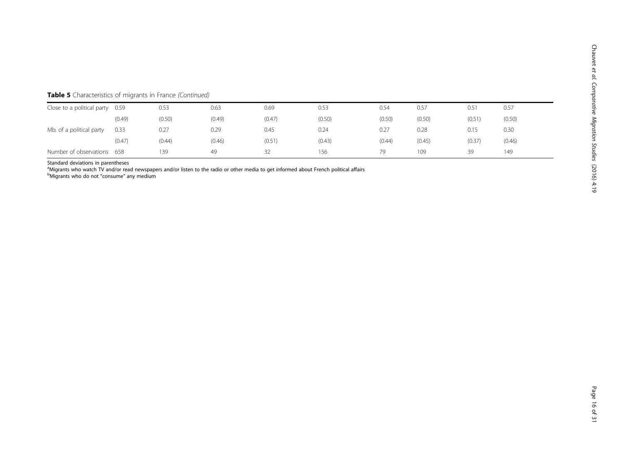Table 5 Characteristics of migrants in France (Continued)

| Close to a political party | 0.59   | 0.53   | 0.63   | 0.69   | 0.53   | 0.54   | 0.57   | 0.51   | 0.57   |
|----------------------------|--------|--------|--------|--------|--------|--------|--------|--------|--------|
|                            | (0.49) | (0.50) | (0.49) | (0.47) | (0.50) | (0.50) | (0.50) | (0.51) | (0.50) |
| Mb. of a political party   | 0.33   | 0.27   | 0.29   | 0.45   | 0.24   | 0.27   | 0.28   | 0.15   | 0.30   |
|                            | (0.47) | (0.44) | (0.46) | (0.51) | (0.43) | (0.44) | (0.45) | (0.37) | (0.46) |
| Number of observations 658 |        | 139    | 49     | 32     | 156    | 79     | 109    | 39     | 149    |

Standard deviations in parentheses

<sup>a</sup>Migrants who watch TV and/or read newspapers and/or listen to the radio or other media to get informed about French political affairs

b Migrants who do not "consume" any medium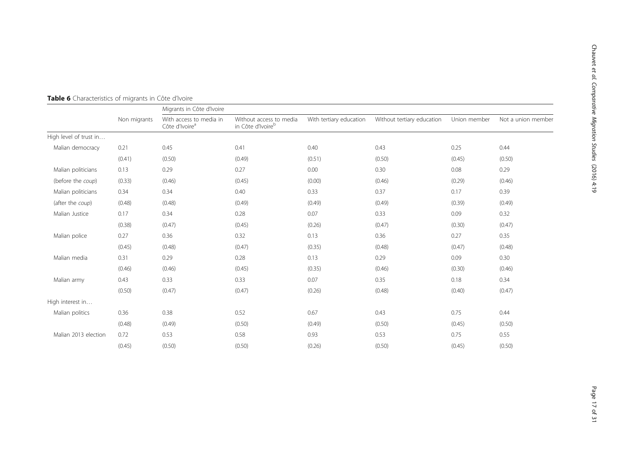|                        |              | Migrants in Côte d'Ivoire                             |                                                          |                         |                            |              |                    |
|------------------------|--------------|-------------------------------------------------------|----------------------------------------------------------|-------------------------|----------------------------|--------------|--------------------|
|                        | Non migrants | With access to media in<br>Côte d'Ivoire <sup>a</sup> | Without access to media<br>in Côte d'Ivoire <sup>b</sup> | With tertiary education | Without tertiary education | Union member | Not a union member |
| High level of trust in |              |                                                       |                                                          |                         |                            |              |                    |
| Malian democracy       | 0.21         | 0.45                                                  | 0.41                                                     | 0.40                    | 0.43                       | 0.25         | 0.44               |
|                        | (0.41)       | (0.50)                                                | (0.49)                                                   | (0.51)                  | (0.50)                     | (0.45)       | (0.50)             |
| Malian politicians     | 0.13         | 0.29                                                  | 0.27                                                     | 0.00                    | 0.30                       | 0.08         | 0.29               |
| (before the coup)      | (0.33)       | (0.46)                                                | (0.45)                                                   | (0.00)                  | (0.46)                     | (0.29)       | (0.46)             |
| Malian politicians     | 0.34         | 0.34                                                  | 0.40                                                     | 0.33                    | 0.37                       | 0.17         | 0.39               |
| (after the coup)       | (0.48)       | (0.48)                                                | (0.49)                                                   | (0.49)                  | (0.49)                     | (0.39)       | (0.49)             |
| Malian Justice         | 0.17         | 0.34                                                  | 0.28                                                     | 0.07                    | 0.33                       | 0.09         | 0.32               |
|                        | (0.38)       | (0.47)                                                | (0.45)                                                   | (0.26)                  | (0.47)                     | (0.30)       | (0.47)             |
| Malian police          | 0.27         | 0.36                                                  | 0.32                                                     | 0.13                    | 0.36                       | 0.27         | 0.35               |
|                        | (0.45)       | (0.48)                                                | (0.47)                                                   | (0.35)                  | (0.48)                     | (0.47)       | (0.48)             |
| Malian media           | 0.31         | 0.29                                                  | 0.28                                                     | 0.13                    | 0.29                       | 0.09         | 0.30               |
|                        | (0.46)       | (0.46)                                                | (0.45)                                                   | (0.35)                  | (0.46)                     | (0.30)       | (0.46)             |
| Malian army            | 0.43         | 0.33                                                  | 0.33                                                     | 0.07                    | 0.35                       | 0.18         | 0.34               |
|                        | (0.50)       | (0.47)                                                | (0.47)                                                   | (0.26)                  | (0.48)                     | (0.40)       | (0.47)             |
| High interest in       |              |                                                       |                                                          |                         |                            |              |                    |
| Malian politics        | 0.36         | 0.38                                                  | 0.52                                                     | 0.67                    | 0.43                       | 0.75         | 0.44               |
|                        | (0.48)       | (0.49)                                                | (0.50)                                                   | (0.49)                  | (0.50)                     | (0.45)       | (0.50)             |
| Malian 2013 election   | 0.72         | 0.53                                                  | 0.58                                                     | 0.93                    | 0.53                       | 0.75         | 0.55               |
|                        | (0.45)       | (0.50)                                                | (0.50)                                                   | (0.26)                  | (0.50)                     | (0.45)       | (0.50)             |

# <span id="page-16-0"></span>Table 6 Characteristics of migrants in Côte d'Ivoire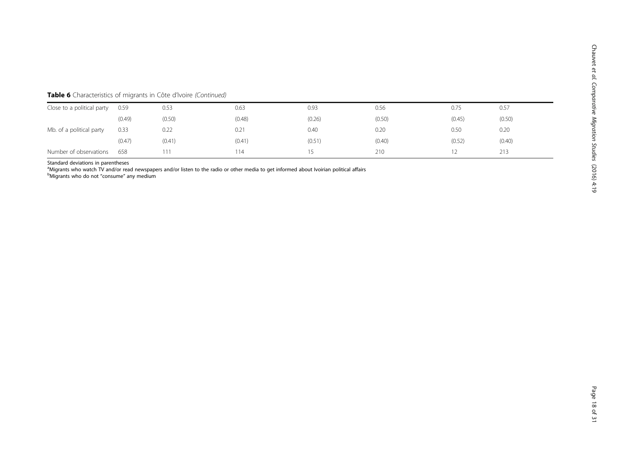| et al. Comparative Migration Studies (2016) 4:19 |
|--------------------------------------------------|
|                                                  |
|                                                  |
|                                                  |

Chauvet

## Table 6 Characteristics of migrants in Côte d'Ivoire (Continued)

Mb. of a political party 0.33 0.22 0.21 0.40 0.20 0.50 0.20 (0.47) (0.41) (0.41) (0.51) (0.40) (0.52) (0.40) Number of observations 658 111 114 114 15 15 210 12 12 213

Close to a political party 0.59 0.53 0.63 0.63 0.93 0.56 0.56 0.75 0.75 0.57 0.57

(0.49) (0.50) (0.48) (0.26) (0.50) (0.45) (0.50)

Standard deviations in parentheses

<sup>a</sup>Migrants who watch TV and/or read newspapers and/or listen to the radio or other media to get informed about Ivoirian political affairs

b Migrants who do not "consume" any medium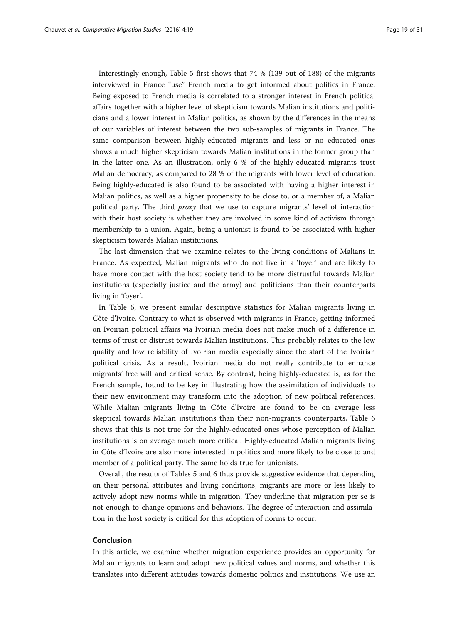Interestingly enough, Table [5](#page-14-0) first shows that 74 % (139 out of 188) of the migrants interviewed in France "use" French media to get informed about politics in France. Being exposed to French media is correlated to a stronger interest in French political affairs together with a higher level of skepticism towards Malian institutions and politicians and a lower interest in Malian politics, as shown by the differences in the means of our variables of interest between the two sub-samples of migrants in France. The same comparison between highly-educated migrants and less or no educated ones shows a much higher skepticism towards Malian institutions in the former group than in the latter one. As an illustration, only 6 % of the highly-educated migrants trust Malian democracy, as compared to 28 % of the migrants with lower level of education. Being highly-educated is also found to be associated with having a higher interest in Malian politics, as well as a higher propensity to be close to, or a member of, a Malian political party. The third proxy that we use to capture migrants' level of interaction with their host society is whether they are involved in some kind of activism through membership to a union. Again, being a unionist is found to be associated with higher skepticism towards Malian institutions.

The last dimension that we examine relates to the living conditions of Malians in France. As expected, Malian migrants who do not live in a 'foyer' and are likely to have more contact with the host society tend to be more distrustful towards Malian institutions (especially justice and the army) and politicians than their counterparts living in 'foyer'.

In Table [6](#page-16-0), we present similar descriptive statistics for Malian migrants living in Côte d'Ivoire. Contrary to what is observed with migrants in France, getting informed on Ivoirian political affairs via Ivoirian media does not make much of a difference in terms of trust or distrust towards Malian institutions. This probably relates to the low quality and low reliability of Ivoirian media especially since the start of the Ivoirian political crisis. As a result, Ivoirian media do not really contribute to enhance migrants' free will and critical sense. By contrast, being highly-educated is, as for the French sample, found to be key in illustrating how the assimilation of individuals to their new environment may transform into the adoption of new political references. While Malian migrants living in Côte d'Ivoire are found to be on average less skeptical towards Malian institutions than their non-migrants counterparts, Table [6](#page-16-0) shows that this is not true for the highly-educated ones whose perception of Malian institutions is on average much more critical. Highly-educated Malian migrants living in Côte d'Ivoire are also more interested in politics and more likely to be close to and member of a political party. The same holds true for unionists.

Overall, the results of Tables [5](#page-14-0) and [6](#page-16-0) thus provide suggestive evidence that depending on their personal attributes and living conditions, migrants are more or less likely to actively adopt new norms while in migration. They underline that migration per se is not enough to change opinions and behaviors. The degree of interaction and assimilation in the host society is critical for this adoption of norms to occur.

### Conclusion

In this article, we examine whether migration experience provides an opportunity for Malian migrants to learn and adopt new political values and norms, and whether this translates into different attitudes towards domestic politics and institutions. We use an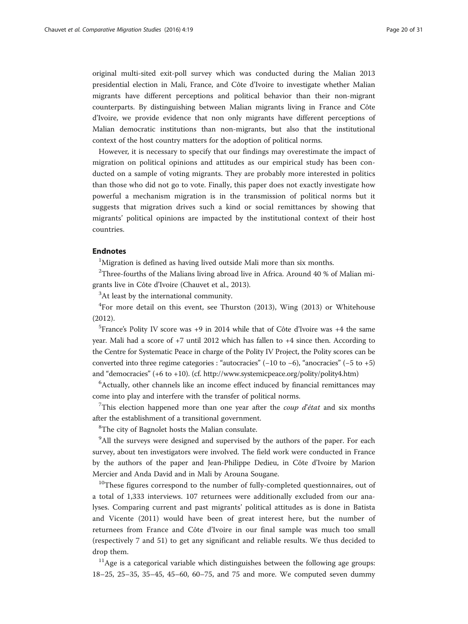original multi-sited exit-poll survey which was conducted during the Malian 2013 presidential election in Mali, France, and Côte d'Ivoire to investigate whether Malian migrants have different perceptions and political behavior than their non-migrant counterparts. By distinguishing between Malian migrants living in France and Côte d'Ivoire, we provide evidence that non only migrants have different perceptions of Malian democratic institutions than non-migrants, but also that the institutional context of the host country matters for the adoption of political norms.

However, it is necessary to specify that our findings may overestimate the impact of migration on political opinions and attitudes as our empirical study has been conducted on a sample of voting migrants. They are probably more interested in politics than those who did not go to vote. Finally, this paper does not exactly investigate how powerful a mechanism migration is in the transmission of political norms but it suggests that migration drives such a kind or social remittances by showing that migrants' political opinions are impacted by the institutional context of their host countries.

## Endnotes

<sup>1</sup>Migration is defined as having lived outside Mali more than six months.

 $2$ Three-fourths of the Malians living abroad live in Africa. Around 40 % of Malian migrants live in Côte d'Ivoire (Chauvet et al., [2013\)](#page-29-0).

<sup>3</sup>At least by the international community.

 ${}^{4}$ For more detail on this event, see Thurston ([2013\)](#page-30-0), Wing (2013) or Whitehouse ([2012\)](#page-30-0).

5 France's Polity IV score was +9 in 2014 while that of Côte d'Ivoire was +4 the same year. Mali had a score of +7 until 2012 which has fallen to +4 since then. According to the Centre for Systematic Peace in charge of the Polity IV Project, the Polity scores can be converted into three regime categories : "autocracies" (−10 to −6), "anocracies" (−5 to +5) and "democracies" (+6 to +10). (cf. [http://www.systemicpeace.org/polity/polity4.htm\)](http://www.systemicpeace.org/polity/polity4.htm)

<sup>6</sup>Actually, other channels like an income effect induced by financial remittances may come into play and interfere with the transfer of political norms.

<sup>7</sup>This election happened more than one year after the *coup d'état* and six months after the establishment of a transitional government.

<sup>8</sup>The city of Bagnolet hosts the Malian consulate.

<sup>9</sup>All the surveys were designed and supervised by the authors of the paper. For each survey, about ten investigators were involved. The field work were conducted in France by the authors of the paper and Jean-Philippe Dedieu, in Côte d'Ivoire by Marion Mercier and Anda David and in Mali by Arouna Sougane.

 $10$ These figures correspond to the number of fully-completed questionnaires, out of a total of 1,333 interviews. 107 returnees were additionally excluded from our analyses. Comparing current and past migrants' political attitudes as is done in Batista and Vicente [\(2011](#page-29-0)) would have been of great interest here, but the number of returnees from France and Côte d'Ivoire in our final sample was much too small (respectively 7 and 51) to get any significant and reliable results. We thus decided to drop them.

 $11$ Age is a categorical variable which distinguishes between the following age groups: 18–25, 25–35, 35–45, 45–60, 60–75, and 75 and more. We computed seven dummy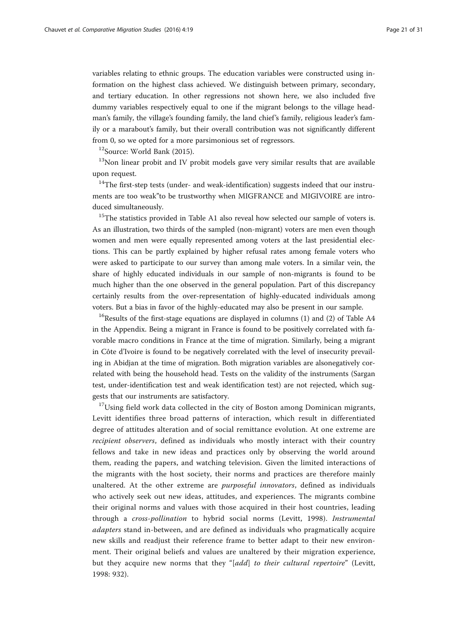variables relating to ethnic groups. The education variables were constructed using information on the highest class achieved. We distinguish between primary, secondary, and tertiary education. In other regressions not shown here, we also included five dummy variables respectively equal to one if the migrant belongs to the village headman's family, the village's founding family, the land chief's family, religious leader's family or a marabout's family, but their overall contribution was not significantly different from 0, so we opted for a more parsimonious set of regressors.

12Source: World Bank [\(2015\)](#page-30-0).

 $13$ Non linear probit and IV probit models gave very similar results that are available upon request.

<sup>14</sup>The first-step tests (under- and weak-identification) suggests indeed that our instruments are too weak"to be trustworthy when MIGFRANCE and MIGIVOIRE are introduced simultaneously.

 $15$ The statistics provided in Table A1 also reveal how selected our sample of voters is. As an illustration, two thirds of the sampled (non-migrant) voters are men even though women and men were equally represented among voters at the last presidential elections. This can be partly explained by higher refusal rates among female voters who were asked to participate to our survey than among male voters. In a similar vein, the share of highly educated individuals in our sample of non-migrants is found to be much higher than the one observed in the general population. Part of this discrepancy certainly results from the over-representation of highly-educated individuals among voters. But a bias in favor of the highly-educated may also be present in our sample.

<sup>16</sup>Results of the first-stage equations are displayed in columns (1) and (2) of Table A4 in the Appendix. Being a migrant in France is found to be positively correlated with favorable macro conditions in France at the time of migration. Similarly, being a migrant in Côte d'Ivoire is found to be negatively correlated with the level of insecurity prevailing in Abidjan at the time of migration. Both migration variables are alsonegatively correlated with being the household head. Tests on the validity of the instruments (Sargan test, under-identification test and weak identification test) are not rejected, which suggests that our instruments are satisfactory.

 $17$ Using field work data collected in the city of Boston among Dominican migrants, Levitt identifies three broad patterns of interaction, which result in differentiated degree of attitudes alteration and of social remittance evolution. At one extreme are recipient observers, defined as individuals who mostly interact with their country fellows and take in new ideas and practices only by observing the world around them, reading the papers, and watching television. Given the limited interactions of the migrants with the host society, their norms and practices are therefore mainly unaltered. At the other extreme are *purposeful innovators*, defined as individuals who actively seek out new ideas, attitudes, and experiences. The migrants combine their original norms and values with those acquired in their host countries, leading through a cross-pollination to hybrid social norms (Levitt, [1998](#page-30-0)). Instrumental adapters stand in-between, and are defined as individuals who pragmatically acquire new skills and readjust their reference frame to better adapt to their new environment. Their original beliefs and values are unaltered by their migration experience, but they acquire new norms that they "[add] to their cultural repertoire" (Levitt, [1998:](#page-30-0) 932).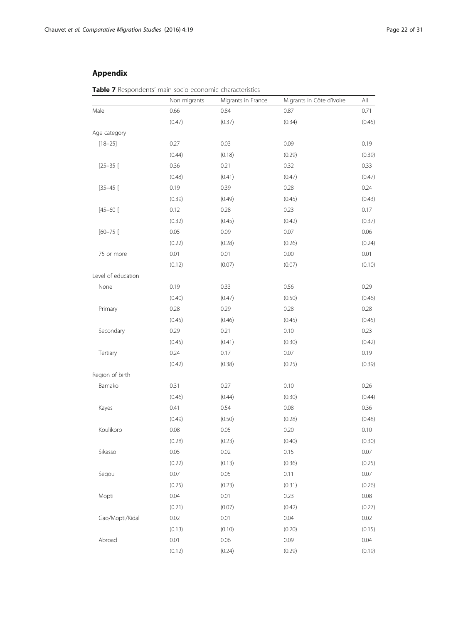# <span id="page-21-0"></span>Appendix

Table 7 Respondents' main socio-economic characteristics

| 0.66<br>0.84<br>0.87<br>(0.47)<br>(0.37)<br>(0.34)<br>Age category<br>0.27<br>0.03<br>0.09<br>$[18 - 25]$<br>(0.44)<br>(0.18)<br>(0.29)<br>0.36<br>0.21<br>0.32<br>$[25 - 35]$<br>(0.48)<br>(0.41)<br>(0.47)<br>0.19<br>0.39<br>0.28<br>$[35 - 45]$<br>(0.39)<br>(0.49)<br>(0.45)<br>0.23<br>$[45 - 60]$<br>0.12<br>0.28<br>(0.32)<br>(0.45)<br>(0.42)<br>0.05<br>0.09<br>0.07<br>$[60 - 75]$<br>(0.22)<br>(0.28)<br>(0.26) |      | Non migrants | Migrants in France | Migrants in Côte d'Ivoire | All    |
|-----------------------------------------------------------------------------------------------------------------------------------------------------------------------------------------------------------------------------------------------------------------------------------------------------------------------------------------------------------------------------------------------------------------------------|------|--------------|--------------------|---------------------------|--------|
|                                                                                                                                                                                                                                                                                                                                                                                                                             | Male |              |                    |                           | 0.71   |
|                                                                                                                                                                                                                                                                                                                                                                                                                             |      |              |                    |                           | (0.45) |
|                                                                                                                                                                                                                                                                                                                                                                                                                             |      |              |                    |                           |        |
|                                                                                                                                                                                                                                                                                                                                                                                                                             |      |              |                    |                           | 0.19   |
|                                                                                                                                                                                                                                                                                                                                                                                                                             |      |              |                    |                           | (0.39) |
|                                                                                                                                                                                                                                                                                                                                                                                                                             |      |              |                    |                           | 0.33   |
|                                                                                                                                                                                                                                                                                                                                                                                                                             |      |              |                    |                           | (0.47) |
|                                                                                                                                                                                                                                                                                                                                                                                                                             |      |              |                    |                           | 0.24   |
|                                                                                                                                                                                                                                                                                                                                                                                                                             |      |              |                    |                           | (0.43) |
|                                                                                                                                                                                                                                                                                                                                                                                                                             |      |              |                    |                           | 0.17   |
|                                                                                                                                                                                                                                                                                                                                                                                                                             |      |              |                    |                           | (0.37) |
|                                                                                                                                                                                                                                                                                                                                                                                                                             |      |              |                    |                           | 0.06   |
|                                                                                                                                                                                                                                                                                                                                                                                                                             |      |              |                    |                           | (0.24) |
| 75 or more<br>0.01<br>0.00<br>0.01                                                                                                                                                                                                                                                                                                                                                                                          |      |              |                    |                           | 0.01   |
| (0.07)<br>(0.12)<br>(0.07)                                                                                                                                                                                                                                                                                                                                                                                                  |      |              |                    |                           | (0.10) |
| Level of education                                                                                                                                                                                                                                                                                                                                                                                                          |      |              |                    |                           |        |
| None<br>0.19<br>0.33<br>0.56                                                                                                                                                                                                                                                                                                                                                                                                |      |              |                    |                           | 0.29   |
| (0.40)<br>(0.47)<br>(0.50)                                                                                                                                                                                                                                                                                                                                                                                                  |      |              |                    |                           | (0.46) |
| Primary<br>0.28<br>0.28<br>0.29                                                                                                                                                                                                                                                                                                                                                                                             |      |              |                    |                           | 0.28   |
| (0.45)<br>(0.46)<br>(0.45)                                                                                                                                                                                                                                                                                                                                                                                                  |      |              |                    |                           | (0.45) |
| Secondary<br>0.29<br>0.10<br>0.21                                                                                                                                                                                                                                                                                                                                                                                           |      |              |                    |                           | 0.23   |
| (0.45)<br>(0.41)<br>(0.30)                                                                                                                                                                                                                                                                                                                                                                                                  |      |              |                    |                           | (0.42) |
| Tertiary<br>0.24<br>0.17<br>0.07                                                                                                                                                                                                                                                                                                                                                                                            |      |              |                    |                           | 0.19   |
| (0.42)<br>(0.25)<br>(0.38)                                                                                                                                                                                                                                                                                                                                                                                                  |      |              |                    |                           | (0.39) |
| Region of birth                                                                                                                                                                                                                                                                                                                                                                                                             |      |              |                    |                           |        |
| Bamako<br>0.31<br>0.27<br>0.10                                                                                                                                                                                                                                                                                                                                                                                              |      |              |                    |                           | 0.26   |
| (0.46)<br>(0.44)<br>(0.30)                                                                                                                                                                                                                                                                                                                                                                                                  |      |              |                    |                           | (0.44) |
| 0.08<br>Kayes<br>0.41<br>0.54                                                                                                                                                                                                                                                                                                                                                                                               |      |              |                    |                           | 0.36   |
| (0.49)<br>(0.50)<br>(0.28)                                                                                                                                                                                                                                                                                                                                                                                                  |      |              |                    |                           | (0.48) |
| Koulikoro<br>0.08<br>0.05<br>0.20                                                                                                                                                                                                                                                                                                                                                                                           |      |              |                    |                           | 0.10   |
| (0.28)<br>(0.23)<br>(0.40)                                                                                                                                                                                                                                                                                                                                                                                                  |      |              |                    |                           | (0.30) |
| Sikasso<br>0.05<br>0.02<br>0.15                                                                                                                                                                                                                                                                                                                                                                                             |      |              |                    |                           | 0.07   |
| (0.22)<br>(0.13)<br>(0.36)                                                                                                                                                                                                                                                                                                                                                                                                  |      |              |                    |                           | (0.25) |
| 0.07<br>0.11<br>Segou<br>0.05                                                                                                                                                                                                                                                                                                                                                                                               |      |              |                    |                           | 0.07   |
| (0.25)<br>(0.23)<br>(0.31)                                                                                                                                                                                                                                                                                                                                                                                                  |      |              |                    |                           | (0.26) |
| 0.04<br>0.23<br>Mopti<br>0.01                                                                                                                                                                                                                                                                                                                                                                                               |      |              |                    |                           | 0.08   |
| (0.21)<br>(0.07)<br>(0.42)                                                                                                                                                                                                                                                                                                                                                                                                  |      |              |                    |                           | (0.27) |
| Gao/Mopti/Kidal<br>0.02<br>0.04<br>0.01                                                                                                                                                                                                                                                                                                                                                                                     |      |              |                    |                           | 0.02   |
| (0.20)<br>(0.13)<br>(0.10)                                                                                                                                                                                                                                                                                                                                                                                                  |      |              |                    |                           | (0.15) |
| Abroad<br>0.01<br>0.09<br>0.06                                                                                                                                                                                                                                                                                                                                                                                              |      |              |                    |                           | 0.04   |
| (0.29)<br>(0.12)<br>(0.24)                                                                                                                                                                                                                                                                                                                                                                                                  |      |              |                    |                           | (0.19) |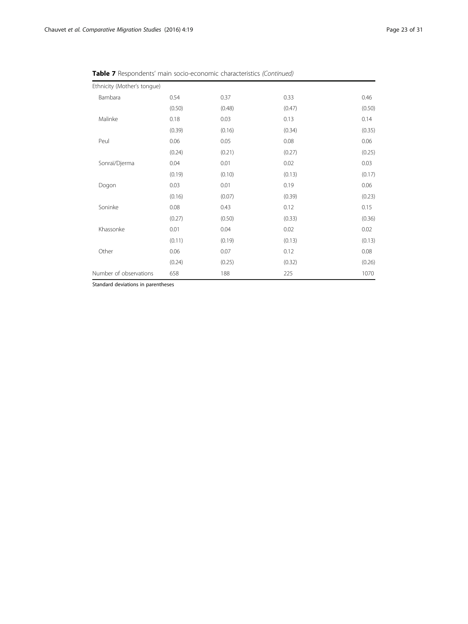| Ethnicity (Mother's tongue) |        |        |        |        |
|-----------------------------|--------|--------|--------|--------|
| Bambara                     | 0.54   | 0.37   | 0.33   | 0.46   |
|                             | (0.50) | (0.48) | (0.47) | (0.50) |
| Malinke                     | 0.18   | 0.03   | 0.13   | 0.14   |
|                             | (0.39) | (0.16) | (0.34) | (0.35) |
| Peul                        | 0.06   | 0.05   | 0.08   | 0.06   |
|                             | (0.24) | (0.21) | (0.27) | (0.25) |
| Sonraï/Djerma               | 0.04   | 0.01   | 0.02   | 0.03   |
|                             | (0.19) | (0.10) | (0.13) | (0.17) |
| Dogon                       | 0.03   | 0.01   | 0.19   | 0.06   |
|                             | (0.16) | (0.07) | (0.39) | (0.23) |
| Soninke                     | 0.08   | 0.43   | 0.12   | 0.15   |
|                             | (0.27) | (0.50) | (0.33) | (0.36) |
| Khassonke                   | 0.01   | 0.04   | 0.02   | 0.02   |
|                             | (0.11) | (0.19) | (0.13) | (0.13) |
| Other                       | 0.06   | 0.07   | 0.12   | 0.08   |
|                             | (0.24) | (0.25) | (0.32) | (0.26) |
| Number of observations      | 658    | 188    | 225    | 1070   |

Table 7 Respondents' main socio-economic characteristics (Continued)

Standard deviations in parentheses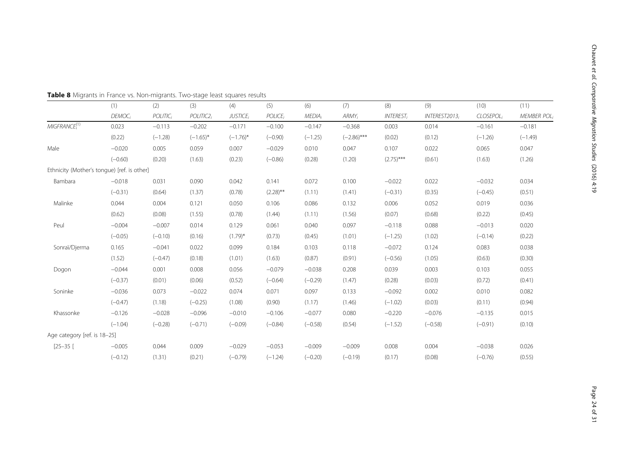|                                             | (1)                | (2)                  | (3)                   | (4)                  | (5)                 | (6)                | (7)               | (8)                   | (9)           | (10)      | (11)              |
|---------------------------------------------|--------------------|----------------------|-----------------------|----------------------|---------------------|--------------------|-------------------|-----------------------|---------------|-----------|-------------------|
|                                             | DEMOC <sub>i</sub> | POLITIC <sub>i</sub> | POLITIC2 <sub>i</sub> | JUSTICE <sub>i</sub> | POLICE <sub>i</sub> | MEDIA <sub>i</sub> | ARMY <sub>i</sub> | INTEREST <sub>i</sub> | INTEREST2013; | CLOSEPOL; | <b>MEMBER POL</b> |
| MIGFRANCE <sub>i</sub> <sup>(1)</sup>       | 0.023              | $-0.113$             | $-0.202$              | $-0.171$             | $-0.100$            | $-0.147$           | $-0.368$          | 0.003                 | 0.014         | $-0.161$  | $-0.181$          |
|                                             | (0.22)             | $(-1.28)$            | $(-1.65)^*$           | $(-1.76)^{*}$        | $(-0.90)$           | $(-1.25)$          | $(-2.86)$ ***     | (0.02)                | (0.12)        | $(-1.26)$ | $(-1.49)$         |
| Male                                        | $-0.020$           | 0.005                | 0.059                 | 0.007                | $-0.029$            | 0.010              | 0.047             | 0.107                 | 0.022         | 0.065     | 0.047             |
|                                             | $(-0.60)$          | (0.20)               | (1.63)                | (0.23)               | $(-0.86)$           | (0.28)             | (1.20)            | $(2.75)$ ***          | (0.61)        | (1.63)    | (1.26)            |
| Ethnicity (Mother's tongue) [ref. is other] |                    |                      |                       |                      |                     |                    |                   |                       |               |           |                   |
| Bambara                                     | $-0.018$           | 0.031                | 0.090                 | 0.042                | 0.141               | 0.072              | 0.100             | $-0.022$              | 0.022         | $-0.032$  | 0.034             |
|                                             | $(-0.31)$          | (0.64)               | (1.37)                | (0.78)               | $(2.28)$ **         | (1.11)             | (1.41)            | $(-0.31)$             | (0.35)        | $(-0.45)$ | (0.51)            |
| Malinke                                     | 0.044              | 0.004                | 0.121                 | 0.050                | 0.106               | 0.086              | 0.132             | 0.006                 | 0.052         | 0.019     | 0.036             |
|                                             | (0.62)             | (0.08)               | (1.55)                | (0.78)               | (1.44)              | (1.11)             | (1.56)            | (0.07)                | (0.68)        | (0.22)    | (0.45)            |
| Peul                                        | $-0.004$           | $-0.007$             | 0.014                 | 0.129                | 0.061               | 0.040              | 0.097             | $-0.118$              | 0.088         | $-0.013$  | 0.020             |
|                                             | $(-0.05)$          | $(-0.10)$            | (0.16)                | $(1.79)^*$           | (0.73)              | (0.45)             | (1.01)            | $(-1.25)$             | (1.02)        | $(-0.14)$ | (0.22)            |
| Sonraï/Djerma                               | 0.165              | $-0.041$             | 0.022                 | 0.099                | 0.184               | 0.103              | 0.118             | $-0.072$              | 0.124         | 0.083     | 0.038             |
|                                             | (1.52)             | $(-0.47)$            | (0.18)                | (1.01)               | (1.63)              | (0.87)             | (0.91)            | $(-0.56)$             | (1.05)        | (0.63)    | (0.30)            |
| Dogon                                       | $-0.044$           | 0.001                | 0.008                 | 0.056                | $-0.079$            | $-0.038$           | 0.208             | 0.039                 | 0.003         | 0.103     | 0.055             |
|                                             | $(-0.37)$          | (0.01)               | (0.06)                | (0.52)               | $(-0.64)$           | $(-0.29)$          | (1.47)            | (0.28)                | (0.03)        | (0.72)    | (0.41)            |
| Soninke                                     | $-0.036$           | 0.073                | $-0.022$              | 0.074                | 0.071               | 0.097              | 0.133             | $-0.092$              | 0.002         | 0.010     | 0.082             |
|                                             | $(-0.47)$          | (1.18)               | $(-0.25)$             | (1.08)               | (0.90)              | (1.17)             | (1.46)            | $(-1.02)$             | (0.03)        | (0.11)    | (0.94)            |
| Khassonke                                   | $-0.126$           | $-0.028$             | $-0.096$              | $-0.010$             | $-0.106$            | $-0.077$           | 0.080             | $-0.220$              | $-0.076$      | $-0.135$  | 0.015             |
|                                             | $(-1.04)$          | $(-0.28)$            | $(-0.71)$             | $(-0.09)$            | $(-0.84)$           | $(-0.58)$          | (0.54)            | $(-1.52)$             | $(-0.58)$     | $(-0.91)$ | (0.10)            |
| Age category [ref. is 18-25]                |                    |                      |                       |                      |                     |                    |                   |                       |               |           |                   |
| $[25 - 35]$                                 | $-0.005$           | 0.044                | 0.009                 | $-0.029$             | $-0.053$            | $-0.009$           | $-0.009$          | 0.008                 | 0.004         | $-0.038$  | 0.026             |
|                                             | $(-0.12)$          | (1.31)               | (0.21)                | $(-0.79)$            | $(-1.24)$           | $(-0.20)$          | $(-0.19)$         | (0.17)                | (0.08)        | $(-0.76)$ | (0.55)            |

Table 8 Migrants in France vs. Non-migrants. Two-stage least squares results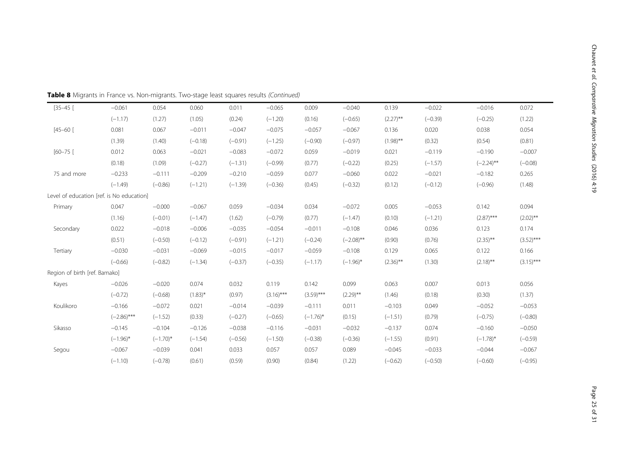| $[35 - 45]$                               | $-0.061$      | 0.054         | 0.060        | 0.011     | $-0.065$     | 0.009         | $-0.040$     | 0.139       | $-0.022$  | $-0.016$     | 0.072        |
|-------------------------------------------|---------------|---------------|--------------|-----------|--------------|---------------|--------------|-------------|-----------|--------------|--------------|
|                                           | $(-1.17)$     | (1.27)        | (1.05)       | (0.24)    | $(-1.20)$    | (0.16)        | $(-0.65)$    | $(2.27)$ ** | $(-0.39)$ | $(-0.25)$    | (1.22)       |
| $[45 - 60]$                               | 0.081         | 0.067         | $-0.011$     | $-0.047$  | $-0.075$     | $-0.057$      | $-0.067$     | 0.136       | 0.020     | 0.038        | 0.054        |
|                                           | (1.39)        | (1.40)        | $(-0.18)$    | $(-0.91)$ | $(-1.25)$    | $(-0.90)$     | $(-0.97)$    | $(1.98)$ ** | (0.32)    | (0.54)       | (0.81)       |
| $[60 - 75]$                               | 0.012         | 0.063         | $-0.021$     | $-0.083$  | $-0.072$     | 0.059         | $-0.019$     | 0.021       | $-0.119$  | $-0.190$     | $-0.007$     |
|                                           | (0.18)        | (1.09)        | $(-0.27)$    | $(-1.31)$ | $(-0.99)$    | (0.77)        | $(-0.22)$    | (0.25)      | $(-1.57)$ | $(-2.24)$ ** | $(-0.08)$    |
| 75 and more                               | $-0.233$      | $-0.111$      | $-0.209$     | $-0.210$  | $-0.059$     | 0.077         | $-0.060$     | 0.022       | $-0.021$  | $-0.182$     | 0.265        |
|                                           | $(-1.49)$     | $(-0.86)$     | $(-1.21)$    | $(-1.39)$ | $(-0.36)$    | (0.45)        | $(-0.32)$    | (0.12)      | $(-0.12)$ | $(-0.96)$    | (1.48)       |
| Level of education [ref. is No education] |               |               |              |           |              |               |              |             |           |              |              |
| Primary                                   | 0.047         | $-0.000$      | $-0.067$     | 0.059     | $-0.034$     | 0.034         | $-0.072$     | 0.005       | $-0.053$  | 0.142        | 0.094        |
|                                           | (1.16)        | $(-0.01)$     | $(-1.47)$    | (1.62)    | $(-0.79)$    | (0.77)        | $(-1.47)$    | (0.10)      | $(-1.21)$ | $(2.87)$ *** | $(2.02)$ **  |
| Secondary                                 | 0.022         | $-0.018$      | $-0.006$     | $-0.035$  | $-0.054$     | $-0.011$      | $-0.108$     | 0.046       | 0.036     | 0.123        | 0.174        |
|                                           | (0.51)        | $(-0.50)$     | $(-0.12)$    | $(-0.91)$ | $(-1.21)$    | $(-0.24)$     | $(-2.08)$ ** | (0.90)      | (0.76)    | $(2.35)$ **  | $(3.52)$ *** |
| Tertiary                                  | $-0.030$      | $-0.031$      | $-0.069$     | $-0.015$  | $-0.017$     | $-0.059$      | $-0.108$     | 0.129       | 0.065     | 0.122        | 0.166        |
|                                           | $(-0.66)$     | $(-0.82)$     | $(-1.34)$    | $(-0.37)$ | $(-0.35)$    | $(-1.17)$     | $(-1.96)^*$  | $(2.36)$ ** | (1.30)    | $(2.18)$ **  | $(3.15)$ *** |
| Region of birth [ref. Bamako]             |               |               |              |           |              |               |              |             |           |              |              |
| Kayes                                     | $-0.026$      | $-0.020$      | 0.074        | 0.032     | 0.119        | 0.142         | 0.099        | 0.063       | 0.007     | 0.013        | 0.056        |
|                                           | $(-0.72)$     | $(-0.68)$     | $(1.83)^{*}$ | (0.97)    | $(3.16)$ *** | $(3.59)$ ***  | $(2.29)$ **  | (1.46)      | (0.18)    | (0.30)       | (1.37)       |
| Koulikoro                                 | $-0.166$      | $-0.072$      | 0.021        | $-0.014$  | $-0.039$     | $-0.111$      | 0.011        | $-0.103$    | 0.049     | $-0.052$     | $-0.053$     |
|                                           | $(-2.86)$ *** | $(-1.52)$     | (0.33)       | $(-0.27)$ | $(-0.65)$    | $(-1.76)^{*}$ | (0.15)       | $(-1.51)$   | (0.79)    | $(-0.75)$    | $(-0.80)$    |
| Sikasso                                   | $-0.145$      | $-0.104$      | $-0.126$     | $-0.038$  | $-0.116$     | $-0.031$      | $-0.032$     | $-0.137$    | 0.074     | $-0.160$     | $-0.050$     |
|                                           | $(-1.96)^{*}$ | $(-1.70)^{*}$ | $(-1.54)$    | $(-0.56)$ | $(-1.50)$    | $(-0.38)$     | $(-0.36)$    | $(-1.55)$   | (0.91)    | $(-1.78)$ *  | $(-0.59)$    |
| Segou                                     | $-0.067$      | $-0.039$      | 0.041        | 0.033     | 0.057        | 0.057         | 0.089        | $-0.045$    | $-0.033$  | $-0.044$     | $-0.067$     |
|                                           | $(-1.10)$     | $(-0.78)$     | (0.61)       | (0.59)    | (0.90)       | (0.84)        | (1.22)       | $(-0.62)$   | $(-0.50)$ | $(-0.60)$    | $(-0.95)$    |

Table 8 Migrants in France vs. Non-migrants. Two-stage least squares results (Continued)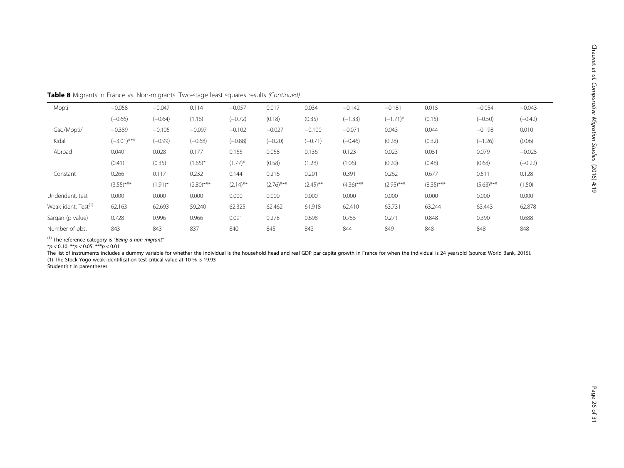| <b>Table 8</b> Migrants in France vs. Non-migrants. Two-stage least squares results (Continued) |
|-------------------------------------------------------------------------------------------------|
|-------------------------------------------------------------------------------------------------|

| Mopti                           | $-0.058$      | $-0.047$     | 0.114        | $-0.057$    | 0.017        | 0.034       | $-0.142$     | $-0.181$      | 0.015        | $-0.054$     | $-0.043$  |
|---------------------------------|---------------|--------------|--------------|-------------|--------------|-------------|--------------|---------------|--------------|--------------|-----------|
|                                 | $(-0.66)$     | $(-0.64)$    | (1.16)       | $(-0.72)$   | (0.18)       | (0.35)      | $(-1.33)$    | $(-1.71)^{*}$ | (0.15)       | $(-0.50)$    | $(-0.42)$ |
| Gao/Mopti/                      | $-0.389$      | $-0.105$     | $-0.097$     | $-0.102$    | $-0.027$     | $-0.100$    | $-0.071$     | 0.043         | 0.044        | $-0.198$     | 0.010     |
| Kidal                           | $(-3.01)$ *** | $(-0.99)$    | $(-0.68)$    | $(-0.88)$   | $(-0.20)$    | $(-0.71)$   | $(-0.46)$    | (0.28)        | (0.32)       | $(-1.26)$    | (0.06)    |
| Abroad                          | 0.040         | 0.028        | 0.177        | 0.155       | 0.058        | 0.136       | 0.123        | 0.023         | 0.051        | 0.079        | $-0.025$  |
|                                 | (0.41)        | (0.35)       | $(1.65)^*$   | $(1.77)^*$  | (0.58)       | (1.28)      | (1.06)       | (0.20)        | (0.48)       | (0.68)       | $(-0.22)$ |
| Constant                        | 0.266         | 0.117        | 0.232        | 0.144       | 0.216        | 0.201       | 0.391        | 0.262         | 0.677        | 0.511        | 0.128     |
|                                 | $(3.55)$ ***  | $(1.91)^{*}$ | $(2.80)$ *** | $(2.14)$ ** | $(2.76)$ *** | $(2.45)$ ** | $(4.36)$ *** | $(2.95)$ ***  | $(8.35)$ *** | $(5.63)$ *** | (1.50)    |
| Underident, test                | 0.000         | 0.000        | 0.000        | 0.000       | 0.000        | 0.000       | 0.000        | 0.000         | 0.000        | 0.000        | 0.000     |
| Weak ident. Test <sup>(1)</sup> | 62.163        | 62.693       | 59.240       | 62.325      | 62.462       | 61.918      | 62.410       | 63.731        | 63.244       | 63.443       | 62.878    |
| Sargan (p value)                | 0.728         | 0.996        | 0.966        | 0.091       | 0.278        | 0.698       | 0.755        | 0.271         | 0.848        | 0.390        | 0.688     |
| Number of obs.                  | 843           | 843          | 837          | 840         | 845          | 843         | 844          | 849           | 848          | 848          | 848       |

 $<sup>(1)</sup>$  The reference category is "Being a non-migrant"</sup>

 $*_p$  < 0.10.  $^{**}p$  < 0.05.  $^{***}p$  < 0.01

The list of instruments includes a dummy variable for whether the individual is the household head and real GDP par capita growth in France for when the individual is 24 yearsold (source: World Bank, [2015](#page-30-0)). (1) The Stock-Yogo weak identification test critical value at 10 % is 19.93

Student's t in parentheses

Page 26 of 31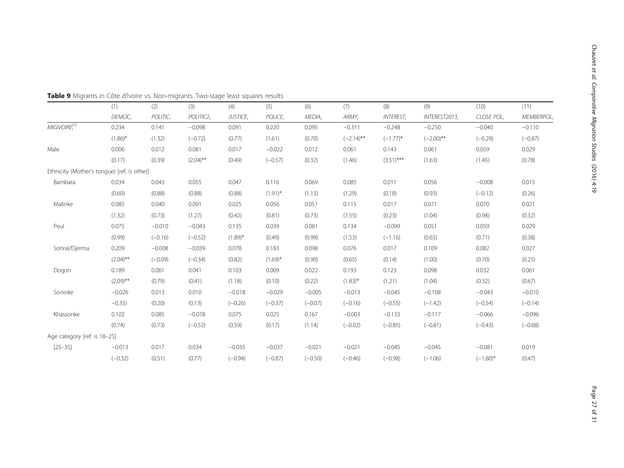|                                             | (1)                | (2)                  | (3)                   | (4)                         | (5)                 | (6)                | (7)               | (8)             | (9)           | (10)                   | (11)             |
|---------------------------------------------|--------------------|----------------------|-----------------------|-----------------------------|---------------------|--------------------|-------------------|-----------------|---------------|------------------------|------------------|
|                                             | DEMOC <sub>i</sub> | POLITIC <sub>i</sub> | POLITIC2 <sub>i</sub> | <b>JUSTICE</b> <sub>i</sub> | POLICE <sub>i</sub> | MEDIA <sub>i</sub> | ARMY <sub>i</sub> | <b>INTEREST</b> | INTEREST2013; | CLOSE POL <sub>i</sub> | <b>MEMBERPOL</b> |
| $MIGIVOIRE_i^{(1)}$                         | 0.234              | 0.141                | $-0.098$              | 0.091                       | 0.220               | 0.095              | $-0.311$          | $-0.248$        | $-0.250$      | $-0.040$               | $-0.110$         |
|                                             | $(1.86)^*$         | (1.32)               | $(-0.72)$             | (0.77)                      | (1.61)              | (0.70)             | $(-2.14)$ **      | $(-1.77)^*$     | $(-2.00)$ **  | $(-0.29)$              | $(-0.87)$        |
| Male                                        | 0.006              | 0.012                | 0.081                 | 0.017                       | $-0.022$            | 0.012              | 0.061             | 0.143           | 0.061         | 0.059                  | 0.029            |
|                                             | (0.17)             | (0.39)               | $(2.04)$ **           | (0.49)                      | $(-0.57)$           | (0.32)             | (1.46)            | $(3.51)$ ***    | (1.63)        | (1.45)                 | (0.78)           |
| Ethnicity (Mother's tongue) [ref. is other] |                    |                      |                       |                             |                     |                    |                   |                 |               |                        |                  |
| Bambara                                     | 0.034              | 0.043                | 0.055                 | 0.047                       | 0.116               | 0.069              | 0.085             | 0.011           | 0.056         | $-0.008$               | 0.015            |
|                                             | (0.60)             | (0.88)               | (0.88)                | (0.88)                      | $(1.91)^{*}$        | (1.13)             | (1.29)            | (0.18)          | (0.93)        | $(-0.12)$              | (0.26)           |
| Malinke                                     | 0.085              | 0.040                | 0.091                 | 0.025                       | 0.056               | 0.051              | 0.115             | 0.017           | 0.071         | 0.070                  | 0.021            |
|                                             | (1.32)             | (0.73)               | (1.27)                | (0.42)                      | (0.81)              | (0.73)             | (1.55)            | (0.23)          | (1.04)        | (0.98)                 | (0.32)           |
| Peul                                        | 0.075              | $-0.010$             | $-0.043$              | 0.135                       | 0.039               | 0.081              | 0.134             | $-0.099$        | 0.051         | 0.059                  | 0.029            |
|                                             | (0.99)             | $(-0.16)$            | $(-0.52)$             | $(1.89)^*$                  | (0.49)              | (0.99)             | (1.53)            | $(-1.16)$       | (0.65)        | (0.71)                 | (0.38)           |
| Sonraï/Djerma                               | 0.209              | $-0.008$             | $-0.039$              | 0.078                       | 0.183               | 0.098              | 0.076             | 0.017           | 0.109         | 0.082                  | 0.027            |
|                                             | $(2.04)$ **        | $(-0.09)$            | $(-0.34)$             | (0.82)                      | $(1.69)^*$          | (0.90)             | (0.65)            | (0.14)          | (1.00)        | (0.70)                 | (0.25)           |
| Dogon                                       | 0.189              | 0.061                | 0.041                 | 0.103                       | 0.009               | 0.022              | 0.193             | 0.123           | 0.098         | 0.032                  | 0.061            |
|                                             | $(2.09)$ **        | (0.79)               | (0.41)                | (1.18)                      | (0.10)              | (0.22)             | $(1.83)^*$        | (1.21)          | (1.04)        | (0.32)                 | (0.67)           |
| Soninke                                     | $-0.026$           | 0.013                | 0.010                 | $-0.018$                    | $-0.029$            | $-0.005$           | $-0.013$          | $-0.045$        | $-0.108$      | $-0.043$               | $-0.010$         |
|                                             | $-0.35$ )          | (0.20)               | (0.13)                | $(-0.26)$                   | $(-0.37)$           | $(-0.07)$          | $(-0.16)$         | $(-0.55)$       | $(-1.42)$     | $(-0.54)$              | $(-0.14)$        |
| Khassonke                                   | 0.102              | 0.085                | $-0.078$              | 0.075                       | 0.025               | 0.167              | $-0.003$          | $-0.133$        | $-0.117$      | $-0.066$               | $-0.096$         |
|                                             | (0.74)             | (0.73)               | $(-0.52)$             | (0.59)                      | (0.17)              | (1.14)             | $(-0.02)$         | $(-0.85)$       | $(-0.81)$     | $(-0.43)$              | $(-0.68)$        |
| Age category [ref. is 18-25]                |                    |                      |                       |                             |                     |                    |                   |                 |               |                        |                  |
| $[25 - 35]$                                 | $-0.013$           | 0.017                | 0.034                 | $-0.035$                    | $-0.037$            | $-0.021$           | $-0.021$          | $-0.045$        | $-0.045$      | $-0.081$               | 0.019            |
|                                             | $(-0.32)$          | (0.51)               | (0.77)                | $(-0.94)$                   | $(-0.87)$           | $(-0.50)$          | $(-0.46)$         | $(-0.98)$       | $(-1.06)$     | $(-1.80)$ *            | (0.47)           |
|                                             |                    |                      |                       |                             |                     |                    |                   |                 |               |                        |                  |

Table 9 Migrants in Côte d'Ivoire vs. Non-migrants. Two-stage least squares results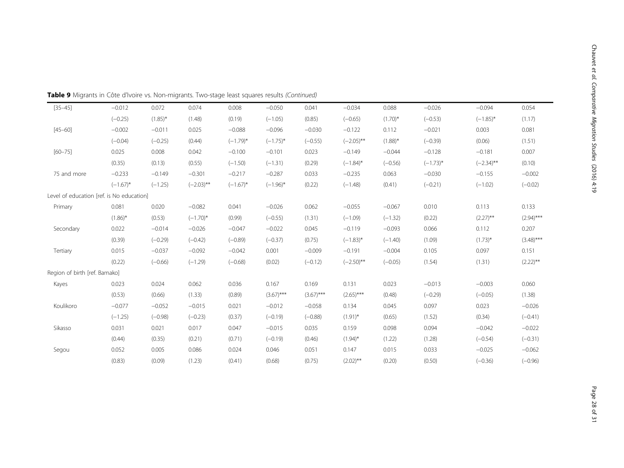| $[35 - 45]$                               | $-0.012$      | 0.072      | 0.074         | 0.008         | $-0.050$      | 0.041        | $-0.034$      | 0.088      | $-0.026$    | $-0.094$     | 0.054        |
|-------------------------------------------|---------------|------------|---------------|---------------|---------------|--------------|---------------|------------|-------------|--------------|--------------|
|                                           | $(-0.25)$     | $(1.85)^*$ | (1.48)        | (0.19)        | $(-1.05)$     | (0.85)       | $(-0.65)$     | $(1.70)^*$ | $(-0.53)$   | $(-1.85)^*$  | (1.17)       |
| $[45 - 60]$                               | $-0.002$      | $-0.011$   | 0.025         | $-0.088$      | $-0.096$      | $-0.030$     | $-0.122$      | 0.112      | $-0.021$    | 0.003        | 0.081        |
|                                           | $(-0.04)$     | $(-0.25)$  | (0.44)        | $(-1.79)^{*}$ | $(-1.75)^{*}$ | $(-0.55)$    | $(-2.05)$ **  | $(1.88)^*$ | $(-0.39)$   | (0.06)       | (1.51)       |
| $[60 - 75]$                               | 0.025         | 0.008      | 0.042         | $-0.100$      | $-0.101$      | 0.023        | $-0.149$      | $-0.044$   | $-0.128$    | $-0.181$     | 0.007        |
|                                           | (0.35)        | (0.13)     | (0.55)        | $(-1.50)$     | $(-1.31)$     | (0.29)       | $(-1.84)^{*}$ | $(-0.56)$  | $(-1.73)^*$ | $(-2.34)$ ** | (0.10)       |
| 75 and more                               | $-0.233$      | $-0.149$   | $-0.301$      | $-0.217$      | $-0.287$      | 0.033        | $-0.235$      | 0.063      | $-0.030$    | $-0.155$     | $-0.002$     |
|                                           | $(-1.67)^{*}$ | $(-1.25)$  | $(-2.03)$ **  | $(-1.67)^{*}$ | $(-1.96)^*$   | (0.22)       | $(-1.48)$     | (0.41)     | $(-0.21)$   | $(-1.02)$    | $(-0.02)$    |
| Level of education [ref. is No education] |               |            |               |               |               |              |               |            |             |              |              |
| Primary                                   | 0.081         | 0.020      | $-0.082$      | 0.041         | $-0.026$      | 0.062        | $-0.055$      | $-0.067$   | 0.010       | 0.113        | 0.133        |
|                                           | $(1.86)^*$    | (0.53)     | $(-1.70)^{*}$ | (0.99)        | $(-0.55)$     | (1.31)       | $(-1.09)$     | $(-1.32)$  | (0.22)      | $(2.27)$ **  | $(2.94)$ *** |
| Secondary                                 | 0.022         | $-0.014$   | $-0.026$      | $-0.047$      | $-0.022$      | 0.045        | $-0.119$      | $-0.093$   | 0.066       | 0.112        | 0.207        |
|                                           | (0.39)        | $(-0.29)$  | $(-0.42)$     | $(-0.89)$     | $(-0.37)$     | (0.75)       | $(-1.83)^{*}$ | $(-1.40)$  | (1.09)      | $(1.73)^{*}$ | $(3.48)$ *** |
| Tertiary                                  | 0.015         | $-0.037$   | $-0.092$      | $-0.042$      | 0.001         | $-0.009$     | $-0.191$      | $-0.004$   | 0.105       | 0.097        | 0.151        |
|                                           | (0.22)        | $(-0.66)$  | $(-1.29)$     | $(-0.68)$     | (0.02)        | $(-0.12)$    | $(-2.50)$ **  | $(-0.05)$  | (1.54)      | (1.31)       | $(2.22)$ **  |
| Region of birth [ref. Bamako]             |               |            |               |               |               |              |               |            |             |              |              |
| Kayes                                     | 0.023         | 0.024      | 0.062         | 0.036         | 0.167         | 0.169        | 0.131         | 0.023      | $-0.013$    | $-0.003$     | 0.060        |
|                                           | (0.53)        | (0.66)     | (1.33)        | (0.89)        | $(3.67)$ ***  | $(3.67)$ *** | $(2.65)$ ***  | (0.48)     | $(-0.29)$   | $(-0.05)$    | (1.38)       |
| Koulikoro                                 | $-0.077$      | $-0.052$   | $-0.015$      | 0.021         | $-0.012$      | $-0.058$     | 0.134         | 0.045      | 0.097       | 0.023        | $-0.026$     |
|                                           | $(-1.25)$     | $(-0.98)$  | $(-0.23)$     | (0.37)        | $(-0.19)$     | $(-0.88)$    | $(1.91)^*$    | (0.65)     | (1.52)      | (0.34)       | $(-0.41)$    |
| Sikasso                                   | 0.031         | 0.021      | 0.017         | 0.047         | $-0.015$      | 0.035        | 0.159         | 0.098      | 0.094       | $-0.042$     | $-0.022$     |
|                                           | (0.44)        | (0.35)     | (0.21)        | (0.71)        | $(-0.19)$     | (0.46)       | $(1.94)^*$    | (1.22)     | (1.28)      | $(-0.54)$    | $(-0.31)$    |
| Segou                                     | 0.052         | 0.005      | 0.086         | 0.024         | 0.046         | 0.051        | 0.147         | 0.015      | 0.033       | $-0.025$     | $-0.062$     |
|                                           | (0.83)        | (0.09)     | (1.23)        | (0.41)        | (0.68)        | (0.75)       | $(2.02)$ **   | (0.20)     | (0.50)      | $(-0.36)$    | $(-0.96)$    |

Table 9 Migrants in Côte d'Ivoire vs. Non-migrants. Two-stage least squares results (Continued)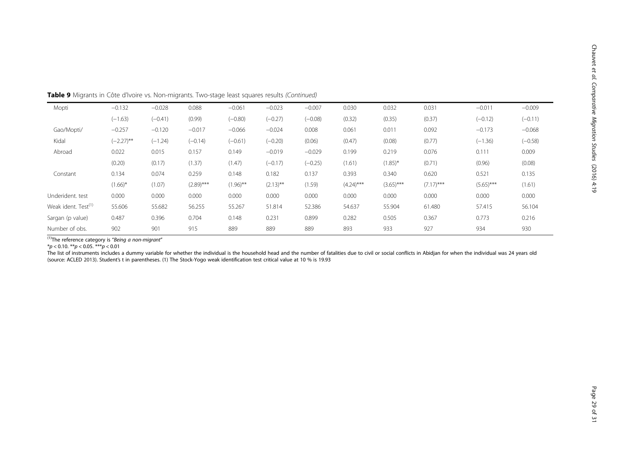| <b>Table 9</b> Migrants in Côte d'Ivoire vs. Non-migrants. Two-stage least squares results <i>(Continued)</i> |  |  |  |
|---------------------------------------------------------------------------------------------------------------|--|--|--|
|---------------------------------------------------------------------------------------------------------------|--|--|--|

| Mopti                           | $-0.132$     | $-0.028$  | 0.088        | $-0.061$    | $-0.023$    | $-0.007$  | 0.030        | 0.032        | 0.031        | $-0.011$     | $-0.009$  |
|---------------------------------|--------------|-----------|--------------|-------------|-------------|-----------|--------------|--------------|--------------|--------------|-----------|
|                                 | $(-1.63)$    | $(-0.41)$ | (0.99)       | $(-0.80)$   | $(-0.27)$   | $(-0.08)$ | (0.32)       | (0.35)       | (0.37)       | $(-0.12)$    | $(-0.11)$ |
| Gao/Mopti/                      | $-0.257$     | $-0.120$  | $-0.017$     | $-0.066$    | $-0.024$    | 0.008     | 0.061        | 0.011        | 0.092        | $-0.173$     | $-0.068$  |
| Kidal                           | $(-2.27)$ ** | $(-1.24)$ | $(-0.14)$    | $(-0.61)$   | $(-0.20)$   | (0.06)    | (0.47)       | (0.08)       | (0.77)       | $(-1.36)$    | $(-0.58)$ |
| Abroad                          | 0.022        | 0.015     | 0.157        | 0.149       | $-0.019$    | $-0.029$  | 0.199        | 0.219        | 0.076        | 0.111        | 0.009     |
|                                 | (0.20)       | (0.17)    | (1.37)       | (1.47)      | $(-0.17)$   | $(-0.25)$ | (1.61)       | $(1.85)^*$   | (0.71)       | (0.96)       | (0.08)    |
| Constant                        | 0.134        | 0.074     | 0.259        | 0.148       | 0.182       | 0.137     | 0.393        | 0.340        | 0.620        | 0.521        | 0.135     |
|                                 | $(1.66)^*$   | (1.07)    | $(2.89)$ *** | $(1.96)$ ** | $(2.13)$ ** | (1.59)    | $(4.24)$ *** | $(3.65)$ *** | $(7.17)$ *** | $(5.65)$ *** | (1.61)    |
| Underident, test                | 0.000        | 0.000     | 0.000        | 0.000       | 0.000       | 0.000     | 0.000        | 0.000        | 0.000        | 0.000        | 0.000     |
| Weak ident. Test <sup>(1)</sup> | 55.606       | 55.682    | 56.255       | 55.267      | 51.814      | 52.386    | 54.637       | 55.904       | 61.480       | 57.415       | 56.104    |
| Sargan (p value)                | 0.487        | 0.396     | 0.704        | 0.148       | 0.231       | 0.899     | 0.282        | 0.505        | 0.367        | 0.773        | 0.216     |
| Number of obs.                  | 902          | 901       | 915          | 889         | 889         | 889       | 893          | 933          | 927          | 934          | 930       |

 $<sup>(1)</sup>$ The reference category is "Being a non-migrant"</sup>

 $*_p$  < 0.10.  $^{**}p$  < 0.05.  $^{***}p$  < 0.01

The list of instruments includes a dummy variable for whether the individual is the household head and the number of fatalities due to civil or social conflicts in Abidjan for when the individual was 24 years old (source: ACLED [2013\)](#page-29-0). Student's t in parentheses. (1) The Stock-Yogo weak identification test critical value at 10 % is 19.93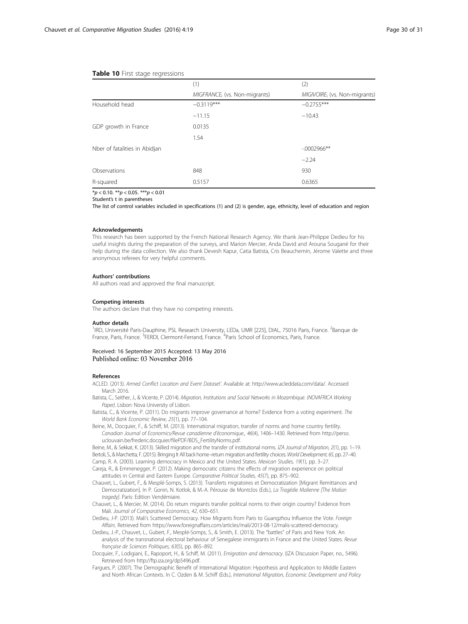<span id="page-29-0"></span>

|  |  |  |  |  | <b>Table 10</b> First stage regressions |
|--|--|--|--|--|-----------------------------------------|
|--|--|--|--|--|-----------------------------------------|

|                               | (1)                           | (2)                           |
|-------------------------------|-------------------------------|-------------------------------|
|                               | MIGFRANCE; (vs. Non-migrants) | MIGIVOIRE; (vs. Non-migrants) |
| Household head                | $-0.3119***$                  | $-0.2755***$                  |
|                               | $-11.15$                      | $-10.43$                      |
| GDP growth in France          | 0.0135                        |                               |
|                               | 1.54                          |                               |
| Nber of fatalities in Abidjan |                               | $-0002966**$                  |
|                               |                               | $-2.24$                       |
| Observations                  | 848                           | 930                           |
| R-squared                     | 0.5157                        | 0.6365                        |

 $*p < 0.10$ .  $**p < 0.05$ .  $***p < 0.01$ 

Student's t in parentheses

The list of control variables included in specifications (1) and (2) is gender, age, ethnicity, level of education and region

#### Acknowledgements

This research has been supported by the French National Research Agency. We thank Jean-Philippe Dedieu for his useful insights during the preparation of the surveys, and Marion Mercier, Anda David and Arouna Sougané for their help during the data collection. We also thank Devesh Kapur, Catia Batista, Cris Beauchemin, Jérome Valette and three anonymous referees for very helpful comments.

#### Authors' contributions

All authors read and approved the final manuscript.

#### Competing interests

The authors declare that they have no competing interests.

#### Author details

<sup>1</sup>IRD, Université Paris-Dauphine, PSL Research University, LEDa, UMR [225], DIAL, 75016 Paris, France. <sup>2</sup>Banque de France, Paris, France. <sup>3</sup>FERDI, Clermont-Ferrand, France. <sup>4</sup>Paris School of Economics, Paris, France.

# Received: 16 September 2015 Accepted: 13 May 2016

#### References

ACLED. (2013). Armed Conflict Location and Event Dataset'. Available at:<http://www.acleddata.com/data/>. Accessed March 2016.

- Batista, C., Seither, J., & Vicente, P. (2014). Migration, Institutions and Social Networks in Mozambique. (NOVAFRICA Working Paper). Lisbon: Nova University of Lisbon.
- Batista, C., & Vicente, P. (2011). Do migrants improve governance at home? Evidence from a voting experiment. The World Bank Economic Review, 25(1), pp. 77–104.
- Beine, M., Docquier, F., & Schiff, M. (2013). International migration, transfer of norms and home country fertility. Canadian Journal of Economics/Revue canadienne d'économique., 46(4), 1406–1430. Retrieved from http://perso. uclouvain.be/frederic.docquier/filePDF/BDS\_FertilityNorms.pdf.

Beine, M., & Sekkat, K. (2013). Skilled migration and the transfer of institutional norms. IZA Journal of Migration, 2(1), pp. 1–19. Bertoli, S., & Marchetta, F. (2015). Bringing It All back home–return migration and fertility choices. World Development, 65, pp. 27–40. Camp, R. A. (2003). Learning democracy in Mexico and the United States. Mexican Studies, 19(1), pp. 3–27.

- Careja, R., & Emmenegger, P. (2012). Making democratic citizens the effects of migration experience on political attitudes in Central and Eastern Europe. Comparative Political Studies, 45(7), pp. 875–902.
- Chauvet, L., Gubert, F., & Mesplé-Somps, S. (2013). Transferts migratoires et Democratization [Migrant Remittances and Democratization]. In P. Gonin, N. Kotlok, & M.-A. Pérouse de Montclos (Eds.), La Tragédie Malienne [The Malian tragedy]. Paris: Edition Vendémiaire.
- Chauvet, L., & Mercier, M. (2014). Do return migrants transfer political norms to their origin country? Evidence from Mali. Journal of Comparative Economics, 42, 630–651.
- Dedieu, J-P. (2013). Mali's Scattered Democracy. How Migrants from Paris to Guangzhou Influence the Vote. Foreign Affairs. Retrieved from https://www.foreignaffairs.com/articles/mali/2013-08-12/malis-scattered-democracy.
- Dedieu, J.-P., Chauvet, L., Gubert, F., Mesplé-Somps, S., & Smith, E. (2013). The "battles" of Paris and New York. An analysis of the transnational electoral behaviour of Senegalese immigrants in France and the United States. Revue française de Sciences Politiques, 63(5), pp. 865–892.
- Docquier, F., Lodigiani, E., Rapoport, H., & Schiff, M. (2011). Emigration and democracy. (IZA Discussion Paper, no., 5496). Retrieved from http://ftp.iza.org/dp5496.pdf.
- Fargues, P. (2007). The Demographic Benefit of International Migration: Hypothesis and Application to Middle Eastern and North African Contexts. In C. Ozden & M. Schiff (Eds.), International Migration, Economic Development and Policy